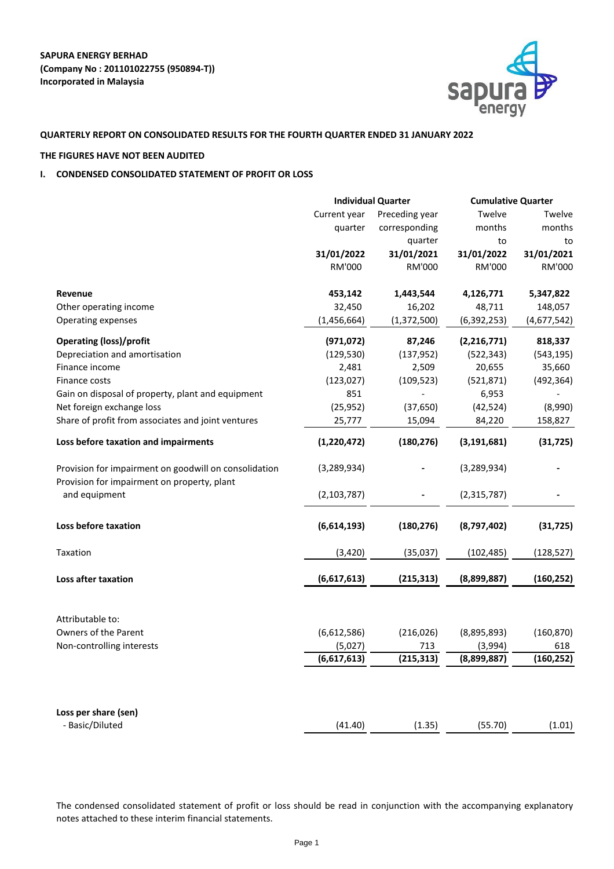

# **QUARTERLY REPORT ON CONSOLIDATED RESULTS FOR THE FOURTH QUARTER ENDED 31 JANUARY 2022**

# **THE FIGURES HAVE NOT BEEN AUDITED**

# **I. CONDENSED CONSOLIDATED STATEMENT OF PROFIT OR LOSS**

|                                                                                                      | <b>Individual Quarter</b> |                | <b>Cumulative Quarter</b> |             |  |
|------------------------------------------------------------------------------------------------------|---------------------------|----------------|---------------------------|-------------|--|
|                                                                                                      | Current year              | Preceding year | Twelve                    | Twelve      |  |
|                                                                                                      | quarter                   | corresponding  | months                    | months      |  |
|                                                                                                      |                           | quarter        | to                        | to          |  |
|                                                                                                      | 31/01/2022                | 31/01/2021     | 31/01/2022                | 31/01/2021  |  |
|                                                                                                      | <b>RM'000</b>             | <b>RM'000</b>  | <b>RM'000</b>             | RM'000      |  |
| <b>Revenue</b>                                                                                       | 453,142                   | 1,443,544      | 4,126,771                 | 5,347,822   |  |
| Other operating income                                                                               | 32,450                    | 16,202         | 48,711                    | 148,057     |  |
| <b>Operating expenses</b>                                                                            | (1,456,664)               | (1,372,500)    | (6,392,253)               | (4,677,542) |  |
| <b>Operating (loss)/profit</b>                                                                       | (971, 072)                | 87,246         | (2, 216, 771)             | 818,337     |  |
| Depreciation and amortisation                                                                        | (129, 530)                | (137, 952)     | (522, 343)                | (543, 195)  |  |
| Finance income                                                                                       | 2,481                     | 2,509          | 20,655                    | 35,660      |  |
| Finance costs                                                                                        | (123, 027)                | (109, 523)     | (521, 871)                | (492, 364)  |  |
| Gain on disposal of property, plant and equipment                                                    | 851                       |                | 6,953                     |             |  |
| Net foreign exchange loss                                                                            | (25, 952)                 | (37, 650)      | (42, 524)                 | (8,990)     |  |
| Share of profit from associates and joint ventures                                                   | 25,777                    | 15,094         | 84,220                    | 158,827     |  |
| Loss before taxation and impairments                                                                 | (1,220,472)               | (180, 276)     | (3, 191, 681)             | (31, 725)   |  |
| Provision for impairment on goodwill on consolidation<br>Provision for impairment on property, plant | (3, 289, 934)             |                | (3, 289, 934)             |             |  |
| and equipment                                                                                        | (2, 103, 787)             |                | (2,315,787)               |             |  |
| Loss before taxation                                                                                 | (6,614,193)               | (180, 276)     | (8,797,402)               | (31, 725)   |  |
| Taxation                                                                                             | (3,420)                   | (35,037)       | (102, 485)                | (128, 527)  |  |
| <b>Loss after taxation</b>                                                                           | (6,617,613)               | (215, 313)     | (8,899,887)               | (160, 252)  |  |
| Attributable to:                                                                                     |                           |                |                           |             |  |
| <b>Owners of the Parent</b>                                                                          | (6,612,586)               | (216, 026)     | (8,895,893)               | (160, 870)  |  |
| Non-controlling interests                                                                            | (5,027)                   | 713            | (3,994)                   | 618         |  |
|                                                                                                      | (6,617,613)               | (215, 313)     | (8,899,887)               | (160, 252)  |  |
|                                                                                                      |                           |                |                           |             |  |
| Loss per share (sen)                                                                                 |                           |                |                           |             |  |
| - Basic/Diluted                                                                                      | (41.40)                   | (1.35)         | (55.70)                   | (1.01)      |  |

The condensed consolidated statement of profit or loss should be read in conjunction with the accompanying explanatory notes attached to these interim financial statements.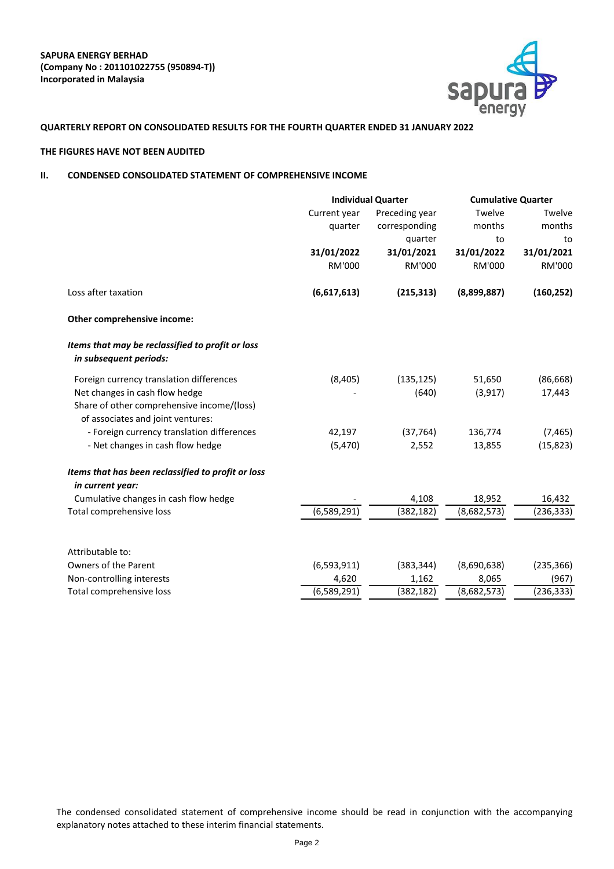

# **QUARTERLY REPORT ON CONSOLIDATED RESULTS FOR THE FOURTH QUARTER ENDED 31 JANUARY 2022**

### **THE FIGURES HAVE NOT BEEN AUDITED**

# **II. CONDENSED CONSOLIDATED STATEMENT OF COMPREHENSIVE INCOME**

|                                                                                 | <b>Individual Quarter</b> |                | <b>Cumulative Quarter</b> |               |
|---------------------------------------------------------------------------------|---------------------------|----------------|---------------------------|---------------|
|                                                                                 | Current year              | Preceding year | Twelve                    | Twelve        |
|                                                                                 | quarter                   | corresponding  | months                    | months        |
|                                                                                 |                           | quarter        | to                        | to            |
|                                                                                 | 31/01/2022                | 31/01/2021     | 31/01/2022                | 31/01/2021    |
|                                                                                 | <b>RM'000</b>             | <b>RM'000</b>  | <b>RM'000</b>             | <b>RM'000</b> |
| Loss after taxation                                                             | (6,617,613)               | (215, 313)     | (8,899,887)               | (160, 252)    |
| Other comprehensive income:                                                     |                           |                |                           |               |
| Items that may be reclassified to profit or loss<br>in subsequent periods:      |                           |                |                           |               |
| Foreign currency translation differences                                        | (8,405)                   | (135, 125)     | 51,650                    | (86, 668)     |
| Net changes in cash flow hedge                                                  |                           | (640)          | (3, 917)                  | 17,443        |
| Share of other comprehensive income/(loss)<br>of associates and joint ventures: |                           |                |                           |               |
| - Foreign currency translation differences                                      | 42,197                    | (37, 764)      | 136,774                   | (7, 465)      |
| - Net changes in cash flow hedge                                                | (5,470)                   | 2,552          | 13,855                    | (15, 823)     |
| Items that has been reclassified to profit or loss                              |                           |                |                           |               |
| in current year:                                                                |                           |                |                           |               |
| Cumulative changes in cash flow hedge                                           |                           | 4,108          | 18,952                    | 16,432        |
| Total comprehensive loss                                                        | (6,589,291)               | (382, 182)     | (8,682,573)               | (236, 333)    |
| Attributable to:                                                                |                           |                |                           |               |
| <b>Owners of the Parent</b>                                                     | (6,593,911)               | (383, 344)     | (8,690,638)               | (235, 366)    |
| Non-controlling interests                                                       | 4,620                     | 1,162          | 8,065                     | (967)         |
| Total comprehensive loss                                                        | (6,589,291)               | (382, 182)     | (8,682,573)               | (236, 333)    |

The condensed consolidated statement of comprehensive income should be read in conjunction with the accompanying explanatory notes attached to these interim financial statements.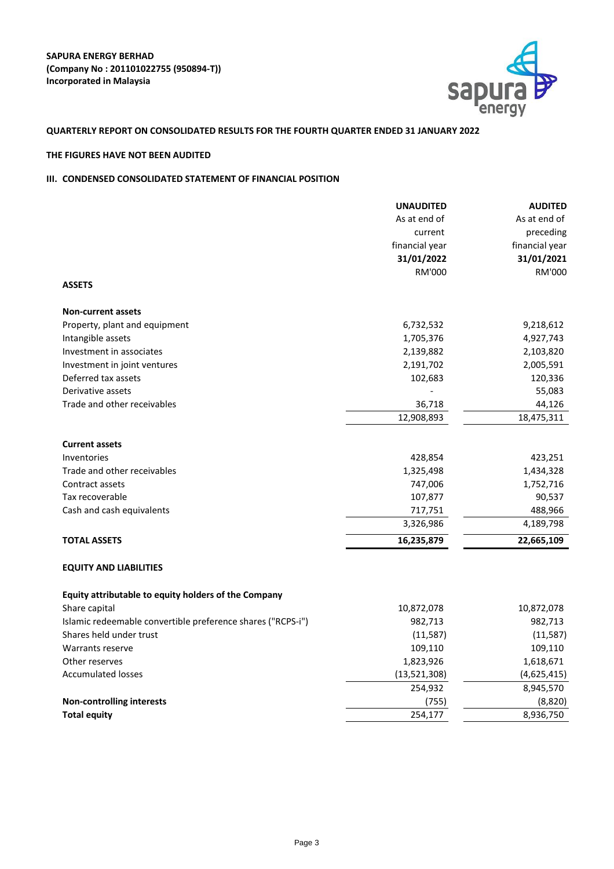

# **QUARTERLY REPORT ON CONSOLIDATED RESULTS FOR THE FOURTH QUARTER ENDED 31 JANUARY 2022**

# **THE FIGURES HAVE NOT BEEN AUDITED**

# **III. CONDENSED CONSOLIDATED STATEMENT OF FINANCIAL POSITION**

|                                                             | <b>UNAUDITED</b> | <b>AUDITED</b> |
|-------------------------------------------------------------|------------------|----------------|
|                                                             | As at end of     | As at end of   |
|                                                             | current          | preceding      |
|                                                             | financial year   | financial year |
|                                                             | 31/01/2022       | 31/01/2021     |
|                                                             | <b>RM'000</b>    | <b>RM'000</b>  |
| <b>ASSETS</b>                                               |                  |                |
| <b>Non-current assets</b>                                   |                  |                |
| Property, plant and equipment                               | 6,732,532        | 9,218,612      |
| Intangible assets                                           | 1,705,376        | 4,927,743      |
| Investment in associates                                    | 2,139,882        | 2,103,820      |
| Investment in joint ventures                                | 2,191,702        | 2,005,591      |
| Deferred tax assets                                         | 102,683          | 120,336        |
| Derivative assets                                           |                  | 55,083         |
| Trade and other receivables                                 | 36,718           | 44,126         |
|                                                             | 12,908,893       | 18,475,311     |
| <b>Current assets</b>                                       |                  |                |
| Inventories                                                 | 428,854          | 423,251        |
| Trade and other receivables                                 | 1,325,498        | 1,434,328      |
| Contract assets                                             | 747,006          | 1,752,716      |
| Tax recoverable                                             | 107,877          | 90,537         |
| Cash and cash equivalents                                   | 717,751          | 488,966        |
|                                                             | 3,326,986        | 4,189,798      |
| <b>TOTAL ASSETS</b>                                         | 16,235,879       | 22,665,109     |
| <b>EQUITY AND LIABILITIES</b>                               |                  |                |
| Equity attributable to equity holders of the Company        |                  |                |
| Share capital                                               | 10,872,078       | 10,872,078     |
| Islamic redeemable convertible preference shares ("RCPS-i") | 982,713          | 982,713        |
| Shares held under trust                                     | (11,587)         | (11,587)       |
| <b>Warrants reserve</b>                                     | 109,110          | 109,110        |
| Other reserves                                              | 1,823,926        | 1,618,671      |
| <b>Accumulated losses</b>                                   | (13,521,308)     | (4,625,415)    |
|                                                             | 254,932          | 8,945,570      |
| <b>Non-controlling interests</b>                            | (755)            | (8,820)        |
| <b>Total equity</b>                                         | 254,177          | 8,936,750      |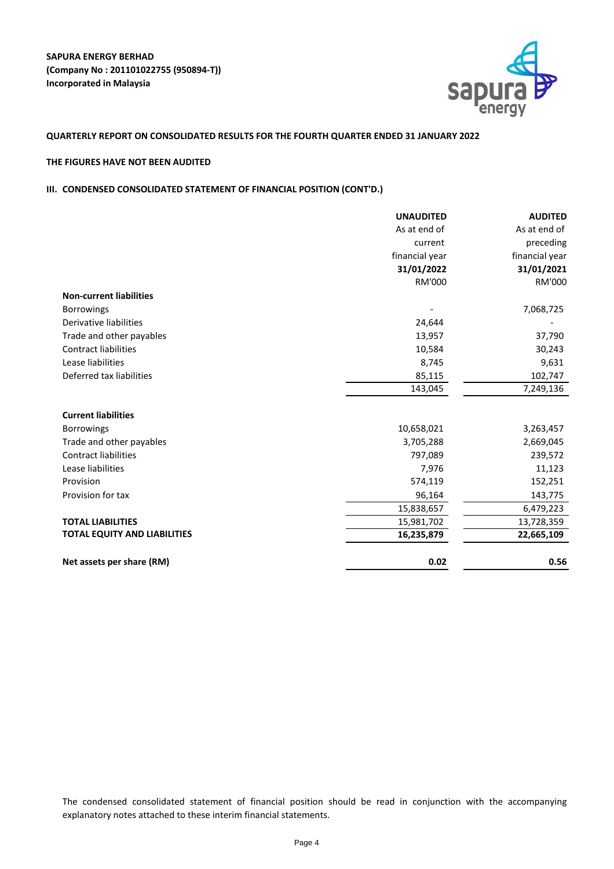

# **QUARTERLY REPORT ON CONSOLIDATED RESULTS FOR THE FOURTH QUARTER ENDED 31 JANUARY 2022**

# **THE FIGURES HAVE NOT BEEN AUDITED**

# **III. CONDENSED CONSOLIDATED STATEMENT OF FINANCIAL POSITION (CONT'D.)**

|                                     | <b>UNAUDITED</b> | <b>AUDITED</b> |
|-------------------------------------|------------------|----------------|
|                                     | As at end of     | As at end of   |
|                                     | current          | preceding      |
|                                     | financial year   | financial year |
|                                     | 31/01/2022       | 31/01/2021     |
|                                     | <b>RM'000</b>    | <b>RM'000</b>  |
| <b>Non-current liabilities</b>      |                  |                |
| <b>Borrowings</b>                   |                  | 7,068,725      |
| <b>Derivative liabilities</b>       | 24,644           |                |
| Trade and other payables            | 13,957           | 37,790         |
| <b>Contract liabilities</b>         | 10,584           | 30,243         |
| Lease liabilities                   | 8,745            | 9,631          |
| Deferred tax liabilities            | 85,115           | 102,747        |
|                                     | 143,045          | 7,249,136      |
|                                     |                  |                |
| <b>Current liabilities</b>          |                  |                |
| <b>Borrowings</b>                   | 10,658,021       | 3,263,457      |
| Trade and other payables            | 3,705,288        | 2,669,045      |
| <b>Contract liabilities</b>         | 797,089          | 239,572        |
| Lease liabilities                   | 7,976            | 11,123         |
| Provision                           | 574,119          | 152,251        |
| Provision for tax                   | 96,164           | 143,775        |
|                                     | 15,838,657       | 6,479,223      |
| <b>TOTAL LIABILITIES</b>            | 15,981,702       | 13,728,359     |
| <b>TOTAL EQUITY AND LIABILITIES</b> | 16,235,879       | 22,665,109     |
| Net assets per share (RM)           | 0.02             | 0.56           |

The condensed consolidated statement of financial position should be read in conjunction with the accompanying explanatory notes attached to these interim financial statements.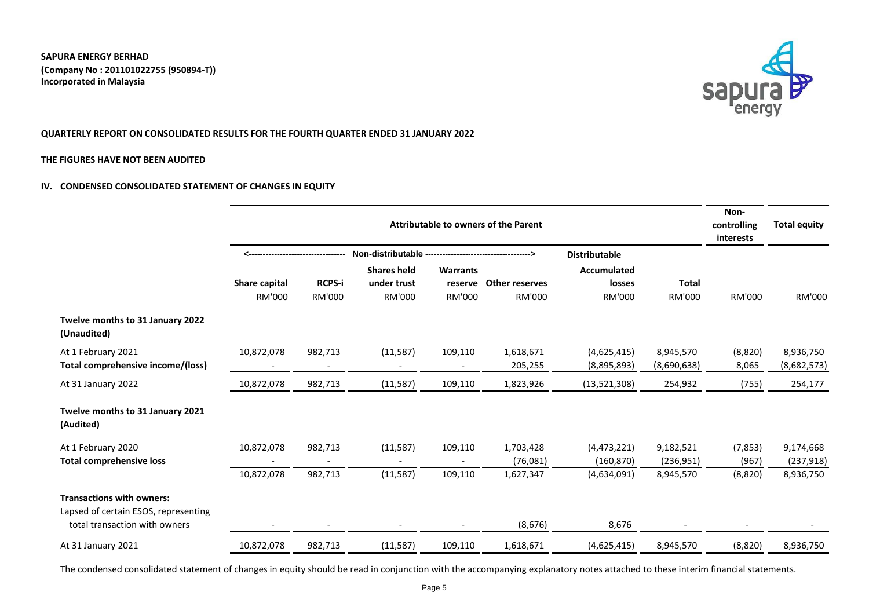

# **QUARTERLY REPORT ON CONSOLIDATED RESULTS FOR THE FOURTH QUARTER ENDED 31 JANUARY 2022**

### **THE FIGURES HAVE NOT BEEN AUDITED**

# **IV. CONDENSED CONSOLIDATED STATEMENT OF CHANGES IN EQUITY**

|                                                                                                           | <b>Attributable to owners of the Parent</b> |                                |                                                    |                                             |                                        |                                               | Non-<br>controlling<br>interests | <b>Total equity</b> |                          |
|-----------------------------------------------------------------------------------------------------------|---------------------------------------------|--------------------------------|----------------------------------------------------|---------------------------------------------|----------------------------------------|-----------------------------------------------|----------------------------------|---------------------|--------------------------|
|                                                                                                           |                                             |                                | Non-distributable --                               |                                             |                                        |                                               |                                  |                     |                          |
|                                                                                                           | <b>Share capital</b><br><b>RM'000</b>       | <b>RCPS-i</b><br><b>RM'000</b> | <b>Shares held</b><br>under trust<br><b>RM'000</b> | <b>Warrants</b><br>reserve<br><b>RM'000</b> | <b>Other reserves</b><br><b>RM'000</b> | <b>Accumulated</b><br>losses<br><b>RM'000</b> | <b>Total</b><br><b>RM'000</b>    | <b>RM'000</b>       | <b>RM'000</b>            |
| Twelve months to 31 January 2022<br>(Unaudited)                                                           |                                             |                                |                                                    |                                             |                                        |                                               |                                  |                     |                          |
| At 1 February 2021<br><b>Total comprehensive income/(loss)</b>                                            | 10,872,078                                  | 982,713                        | (11,587)                                           | 109,110                                     | 1,618,671<br>205,255                   | (4,625,415)<br>(8,895,893)                    | 8,945,570<br>(8,690,638)         | (8,820)<br>8,065    | 8,936,750<br>(8,682,573) |
| At 31 January 2022                                                                                        | 10,872,078                                  | 982,713                        | (11, 587)                                          | 109,110                                     | 1,823,926                              | (13,521,308)                                  | 254,932                          | (755)               | 254,177                  |
| Twelve months to 31 January 2021<br>(Audited)                                                             |                                             |                                |                                                    |                                             |                                        |                                               |                                  |                     |                          |
| At 1 February 2020<br><b>Total comprehensive loss</b>                                                     | 10,872,078                                  | 982,713                        | (11, 587)                                          | 109,110                                     | 1,703,428<br>(76,081)                  | (4,473,221)<br>(160, 870)                     | 9,182,521<br>(236,951)           | (7, 853)<br>(967)   | 9,174,668<br>(237, 918)  |
|                                                                                                           | 10,872,078                                  | 982,713                        | (11, 587)                                          | 109,110                                     | 1,627,347                              | (4,634,091)                                   | 8,945,570                        | (8,820)             | 8,936,750                |
| <b>Transactions with owners:</b><br>Lapsed of certain ESOS, representing<br>total transaction with owners |                                             |                                |                                                    |                                             | (8,676)                                | 8,676                                         |                                  |                     |                          |
| At 31 January 2021                                                                                        | 10,872,078                                  | 982,713                        | (11, 587)                                          | 109,110                                     | 1,618,671                              | (4,625,415)                                   | 8,945,570                        | (8,820)             | 8,936,750                |

The condensed consolidated statement of changes in equity should be read in conjunction with the accompanying explanatory notes attached to these interim financial statements.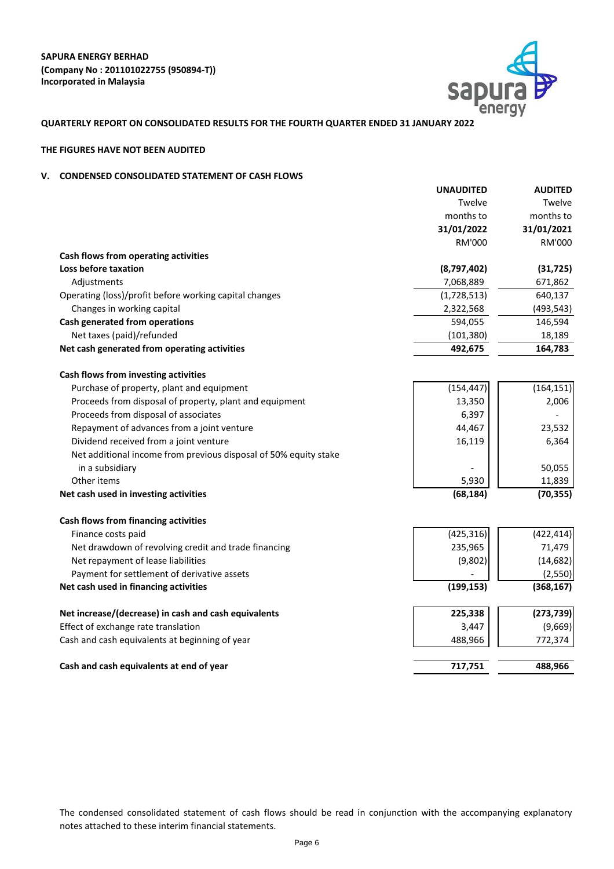

# **QUARTERLY REPORT ON CONSOLIDATED RESULTS FOR THE FOURTH QUARTER ENDED 31 JANUARY 2022**

# **THE FIGURES HAVE NOT BEEN AUDITED**

# **V. CONDENSED CONSOLIDATED STATEMENT OF CASH FLOWS**

|                                                                  | <b>UNAUDITED</b> | <b>AUDITED</b> |
|------------------------------------------------------------------|------------------|----------------|
|                                                                  | Twelve           | Twelve         |
|                                                                  | months to        | months to      |
|                                                                  | 31/01/2022       | 31/01/2021     |
|                                                                  | <b>RM'000</b>    | <b>RM'000</b>  |
| Cash flows from operating activities                             |                  |                |
| Loss before taxation                                             | (8,797,402)      | (31, 725)      |
| Adjustments                                                      | 7,068,889        | 671,862        |
| Operating (loss)/profit before working capital changes           | (1,728,513)      | 640,137        |
| Changes in working capital                                       | 2,322,568        | (493, 543)     |
| <b>Cash generated from operations</b>                            | 594,055          | 146,594        |
| Net taxes (paid)/refunded                                        | (101, 380)       | 18,189         |
| Net cash generated from operating activities                     | 492,675          | 164,783        |
| <b>Cash flows from investing activities</b>                      |                  |                |
| Purchase of property, plant and equipment                        | (154, 447)       | (164, 151)     |
| Proceeds from disposal of property, plant and equipment          | 13,350           | 2,006          |
| Proceeds from disposal of associates                             | 6,397            |                |
| Repayment of advances from a joint venture                       | 44,467           | 23,532         |
| Dividend received from a joint venture                           | 16,119           | 6,364          |
| Net additional income from previous disposal of 50% equity stake |                  |                |
| in a subsidiary                                                  |                  | 50,055         |
| Other items                                                      | 5,930            | 11,839         |
| Net cash used in investing activities                            | (68, 184)        | (70, 355)      |
| <b>Cash flows from financing activities</b>                      |                  |                |
| Finance costs paid                                               | (425, 316)       | (422, 414)     |
| Net drawdown of revolving credit and trade financing             | 235,965          | 71,479         |
| Net repayment of lease liabilities                               | (9,802)          | (14, 682)      |
| Payment for settlement of derivative assets                      |                  | (2,550)        |
| Net cash used in financing activities                            | (199, 153)       | (368, 167)     |
| Net increase/(decrease) in cash and cash equivalents             | 225,338          | (273, 739)     |
| Effect of exchange rate translation                              | 3,447            | (9,669)        |
| Cash and cash equivalents at beginning of year                   | 488,966          | 772,374        |
| Cash and cash equivalents at end of year                         | 717,751          | 488,966        |

The condensed consolidated statement of cash flows should be read in conjunction with the accompanying explanatory notes attached to these interim financial statements.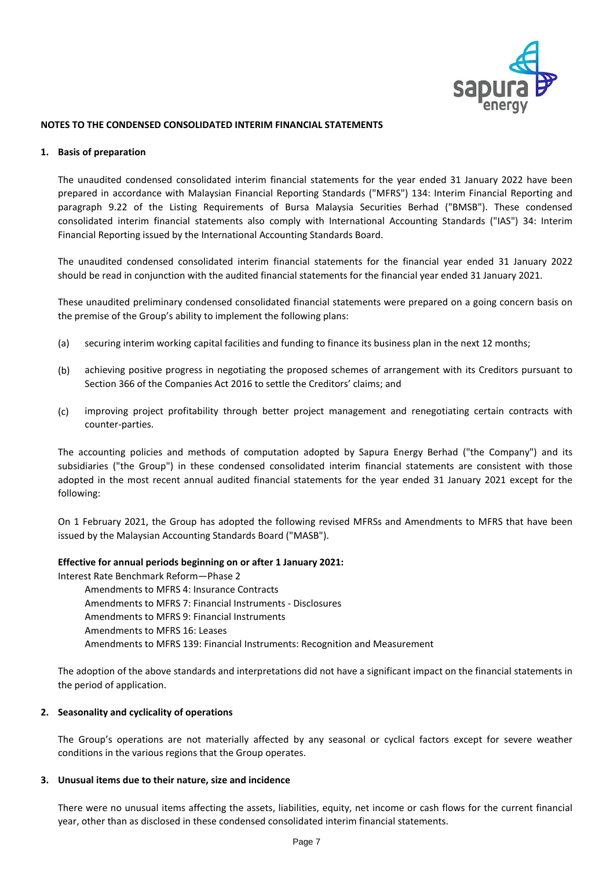

### **NOTES TO THE CONDENSED CONSOLIDATED INTERIM FINANCIAL STATEMENTS**

### **1. Basis of preparation**

The unaudited condensed consolidated interim financial statements for the year ended 31 January 2022 have been prepared in accordance with Malaysian Financial Reporting Standards ("MFRS") 134: Interim Financial Reporting and paragraph 9.22 of the Listing Requirements of Bursa Malaysia Securities Berhad ("BMSB"). These condensed consolidated interim financial statements also comply with International Accounting Standards ("IAS") 34: Interim Financial Reporting issued by the International Accounting Standards Board.

The unaudited condensed consolidated interim financial statements for the financial year ended 31 January 2022 should be read in conjunction with the audited financial statements for the financial year ended 31 January 2021.

These unaudited preliminary condensed consolidated financial statements were prepared on a going concern basis on the premise of the Group's ability to implement the following plans:

- (a) securing interim working capital facilities and funding to finance its business plan in the next 12 months;
- (b) achieving positive progress in negotiating the proposed schemes of arrangement with its Creditors pursuant to Section 366 of the Companies Act 2016 to settle the Creditors' claims; and
- (c) improving project profitability through better project management and renegotiating certain contracts with counter-parties.

The accounting policies and methods of computation adopted by Sapura Energy Berhad ("the Company") and its subsidiaries ("the Group") in these condensed consolidated interim financial statements are consistent with those adopted in the most recent annual audited financial statements for the year ended 31 January 2021 except for the following:

On 1 February 2021, the Group has adopted the following revised MFRSs and Amendments to MFRS that have been issued by the Malaysian Accounting Standards Board ("MASB").

### **Effective for annual periods beginning on or after 1 January 2021:**

Interest Rate Benchmark Reform—Phase 2

Amendments to MFRS 4: Insurance Contracts Amendments to MFRS 7: Financial Instruments - Disclosures Amendments to MFRS 9: Financial Instruments Amendments to MFRS 16: Leases Amendments to MFRS 139: Financial Instruments: Recognition and Measurement

The adoption of the above standards and interpretations did not have a significant impact on the financial statements in the period of application.

### **2. Seasonality and cyclicality of operations**

The Group's operations are not materially affected by any seasonal or cyclical factors except for severe weather conditions in the various regions that the Group operates.

### **3. Unusual items due to their nature, size and incidence**

There were no unusual items affecting the assets, liabilities, equity, net income or cash flows for the current financial year, other than as disclosed in these condensed consolidated interim financial statements.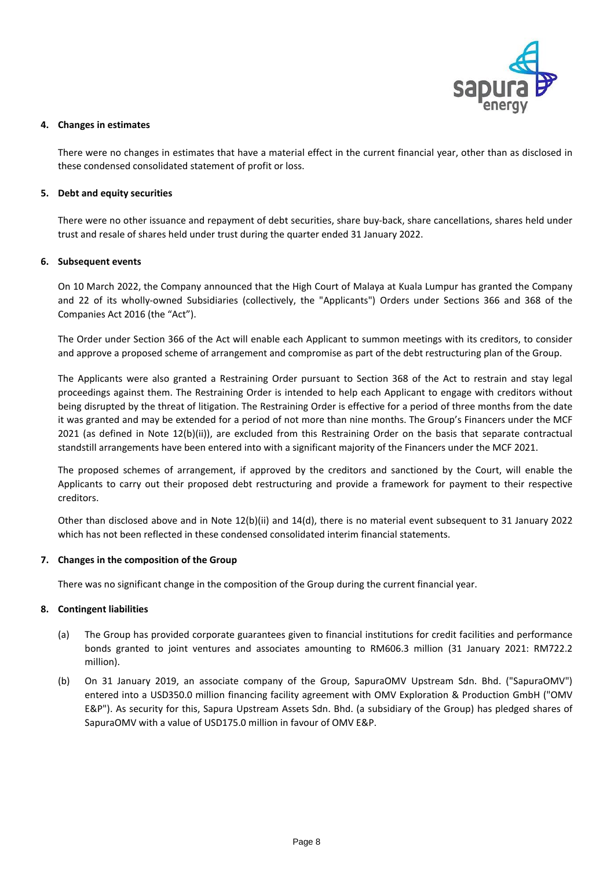

### **4. Changes in estimates**

There were no changes in estimates that have a material effect in the current financial year, other than as disclosed in these condensed consolidated statement of profit or loss.

# **5. Debt and equity securities**

There were no other issuance and repayment of debt securities, share buy-back, share cancellations, shares held under trust and resale of shares held under trust during the quarter ended 31 January 2022.

### **6. Subsequent events**

On 10 March 2022, the Company announced that the High Court of Malaya at Kuala Lumpur has granted the Company and 22 of its wholly-owned Subsidiaries (collectively, the "Applicants") Orders under Sections 366 and 368 of the Companies Act 2016 (the "Act").

The Order under Section 366 of the Act will enable each Applicant to summon meetings with its creditors, to consider and approve a proposed scheme of arrangement and compromise as part of the debt restructuring plan of the Group.

The Applicants were also granted a Restraining Order pursuant to Section 368 of the Act to restrain and stay legal proceedings against them. The Restraining Order is intended to help each Applicant to engage with creditors without being disrupted by the threat of litigation. The Restraining Order is effective for a period of three months from the date it was granted and may be extended for a period of not more than nine months. The Group's Financers under the MCF 2021 (as defined in Note 12(b)(ii)), are excluded from this Restraining Order on the basis that separate contractual standstill arrangements have been entered into with a significant majority of the Financers under the MCF 2021.

The proposed schemes of arrangement, if approved by the creditors and sanctioned by the Court, will enable the Applicants to carry out their proposed debt restructuring and provide a framework for payment to their respective creditors.

Other than disclosed above and in Note 12(b)(ii) and 14(d), there is no material event subsequent to 31 January 2022 which has not been reflected in these condensed consolidated interim financial statements.

# **7. Changes in the composition of the Group**

There was no significant change in the composition of the Group during the current financial year.

### **8. Contingent liabilities**

- (a) The Group has provided corporate guarantees given to financial institutions for credit facilities and performance bonds granted to joint ventures and associates amounting to RM606.3 million (31 January 2021: RM722.2 million).
- (b) On 31 January 2019, an associate company of the Group, SapuraOMV Upstream Sdn. Bhd. ("SapuraOMV") entered into a USD350.0 million financing facility agreement with OMV Exploration & Production GmbH ("OMV E&P"). As security for this, Sapura Upstream Assets Sdn. Bhd. (a subsidiary of the Group) has pledged shares of SapuraOMV with a value of USD175.0 million in favour of OMV E&P.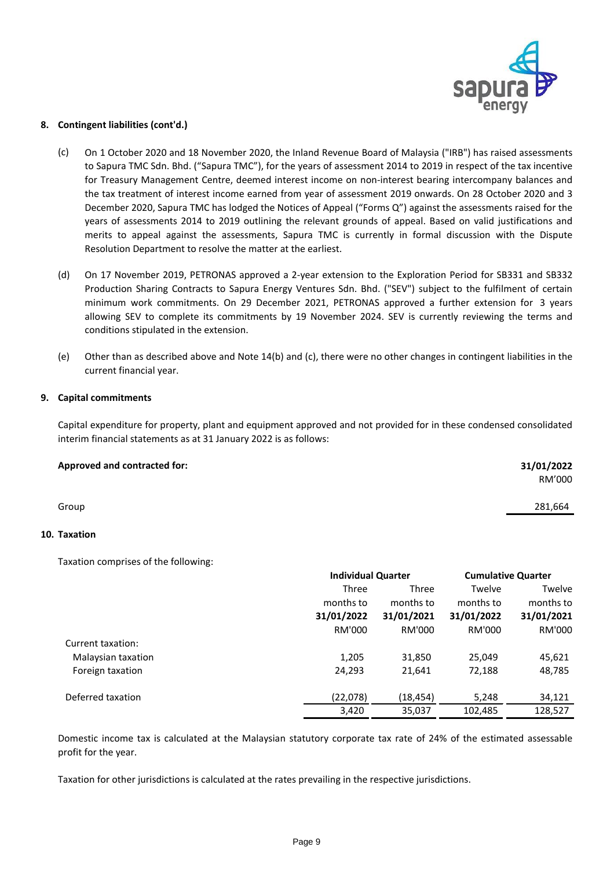

### **8. Contingent liabilities (cont'd.)**

- (c) On 1 October 2020 and 18 November 2020, the Inland Revenue Board of Malaysia ("IRB") has raised assessments to Sapura TMC Sdn. Bhd. ("Sapura TMC"), for the years of assessment 2014 to 2019 in respect of the tax incentive for Treasury Management Centre, deemed interest income on non-interest bearing intercompany balances and the tax treatment of interest income earned from year of assessment 2019 onwards. On 28 October 2020 and 3 December 2020, Sapura TMC has lodged the Notices of Appeal ("Forms Q") against the assessments raised for the years of assessments 2014 to 2019 outlining the relevant grounds of appeal. Based on valid justifications and merits to appeal against the assessments, Sapura TMC is currently in formal discussion with the Dispute Resolution Department to resolve the matter at the earliest.
- (d) On 17 November 2019, PETRONAS approved a 2-year extension to the Exploration Period for SB331 and SB332 Production Sharing Contracts to Sapura Energy Ventures Sdn. Bhd. ("SEV") subject to the fulfilment of certain minimum work commitments. On 29 December 2021, PETRONAS approved a further extension for 3 years allowing SEV to complete its commitments by 19 November 2024. SEV is currently reviewing the terms and conditions stipulated in the extension.
- (e) Other than as described above and Note 14(b) and (c), there were no other changes in contingent liabilities in the current financial year.

### **9. Capital commitments**

Capital expenditure for property, plant and equipment approved and not provided for in these condensed consolidated interim financial statements as at 31 January 2022 is as follows:

| <b>Approved and contracted for:</b> | 31/01/2022 |
|-------------------------------------|------------|
|                                     | RM'000     |
| Group                               | 281,664    |

### **10. Taxation**

Taxation comprises of the following:

|                    |            | <b>Individual Quarter</b> |            | <b>Cumulative Quarter</b> |  |
|--------------------|------------|---------------------------|------------|---------------------------|--|
|                    | Three      | <b>Three</b>              | Twelve     | Twelve                    |  |
|                    | months to  | months to                 | months to  | months to                 |  |
|                    | 31/01/2022 | 31/01/2021                | 31/01/2022 | 31/01/2021                |  |
|                    | RM'000     | RM'000                    | RM'000     | RM'000                    |  |
| Current taxation:  |            |                           |            |                           |  |
| Malaysian taxation | 1,205      | 31,850                    | 25,049     | 45,621                    |  |
| Foreign taxation   | 24,293     | 21,641                    | 72,188     | 48,785                    |  |
| Deferred taxation  | (22,078)   | (18, 454)                 | 5,248      | 34,121                    |  |
|                    | 3,420      | 35,037                    | 102,485    | 128,527                   |  |

Domestic income tax is calculated at the Malaysian statutory corporate tax rate of 24% of the estimated assessable profit for the year.

Taxation for other jurisdictions is calculated at the rates prevailing in the respective jurisdictions.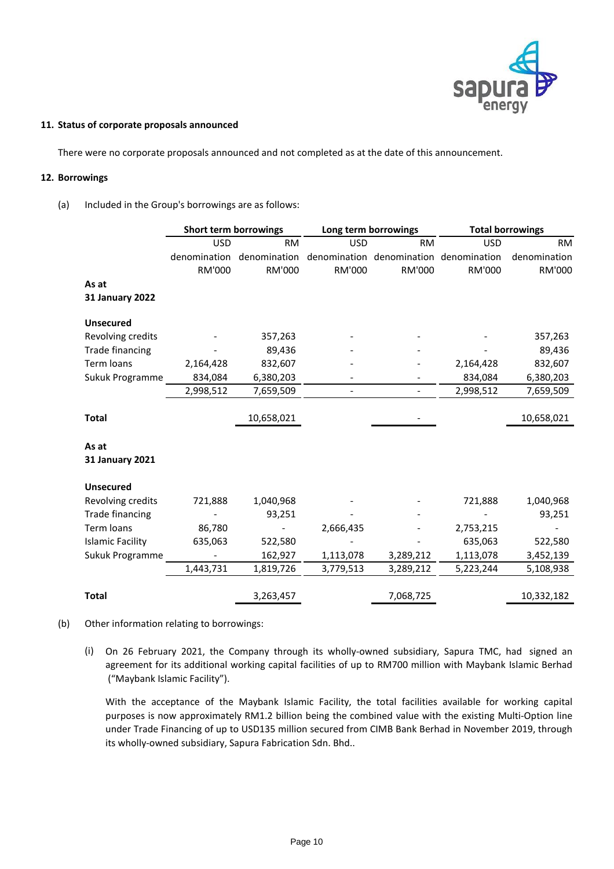

### **11. Status of corporate proposals announced**

There were no corporate proposals announced and not completed as at the date of this announcement.

### **12. Borrowings**

(a) Included in the Group's borrowings are as follows:

|                         | <b>Short term borrowings</b> |               |            | Long term borrowings      | <b>Total borrowings</b> |              |
|-------------------------|------------------------------|---------------|------------|---------------------------|-------------------------|--------------|
|                         | <b>USD</b>                   | <b>RM</b>     | <b>USD</b> | <b>RM</b>                 | <b>USD</b>              | <b>RM</b>    |
|                         | denomination                 | denomination  |            | denomination denomination | denomination            | denomination |
|                         | RM'000                       | <b>RM'000</b> | RM'000     | RM'000                    | RM'000                  | RM'000       |
| As at                   |                              |               |            |                           |                         |              |
| <b>31 January 2022</b>  |                              |               |            |                           |                         |              |
| <b>Unsecured</b>        |                              |               |            |                           |                         |              |
| Revolving credits       |                              | 357,263       |            |                           |                         | 357,263      |
| <b>Trade financing</b>  |                              | 89,436        |            |                           |                         | 89,436       |
| Term loans              | 2,164,428                    | 832,607       |            |                           | 2,164,428               | 832,607      |
| Sukuk Programme         | 834,084                      | 6,380,203     |            |                           | 834,084                 | 6,380,203    |
|                         | 2,998,512                    | 7,659,509     |            | $\overline{\phantom{a}}$  | 2,998,512               | 7,659,509    |
|                         |                              |               |            |                           |                         |              |
| <b>Total</b>            |                              | 10,658,021    |            |                           |                         | 10,658,021   |
|                         |                              |               |            |                           |                         |              |
| As at                   |                              |               |            |                           |                         |              |
| <b>31 January 2021</b>  |                              |               |            |                           |                         |              |
| <b>Unsecured</b>        |                              |               |            |                           |                         |              |
| Revolving credits       | 721,888                      | 1,040,968     |            |                           | 721,888                 | 1,040,968    |
| <b>Trade financing</b>  |                              | 93,251        |            |                           |                         | 93,251       |
| Term loans              | 86,780                       |               | 2,666,435  |                           | 2,753,215               |              |
| <b>Islamic Facility</b> | 635,063                      | 522,580       |            |                           | 635,063                 | 522,580      |
| Sukuk Programme         |                              | 162,927       | 1,113,078  | 3,289,212                 | 1,113,078               | 3,452,139    |
|                         | 1,443,731                    | 1,819,726     | 3,779,513  | 3,289,212                 | 5,223,244               | 5,108,938    |
|                         |                              |               |            |                           |                         |              |
| <b>Total</b>            |                              | 3,263,457     |            | 7,068,725                 |                         | 10,332,182   |

- (b) Other information relating to borrowings:
	- (i) On 26 February 2021, the Company through its wholly-owned subsidiary, Sapura TMC, had signed an agreement for its additional working capital facilities of up to RM700 million with Maybank Islamic Berhad ("Maybank Islamic Facility").

With the acceptance of the Maybank Islamic Facility, the total facilities available for working capital purposes is now approximately RM1.2 billion being the combined value with the existing Multi-Option line under Trade Financing of up to USD135 million secured from CIMB Bank Berhad in November 2019, through its wholly-owned subsidiary, Sapura Fabrication Sdn. Bhd..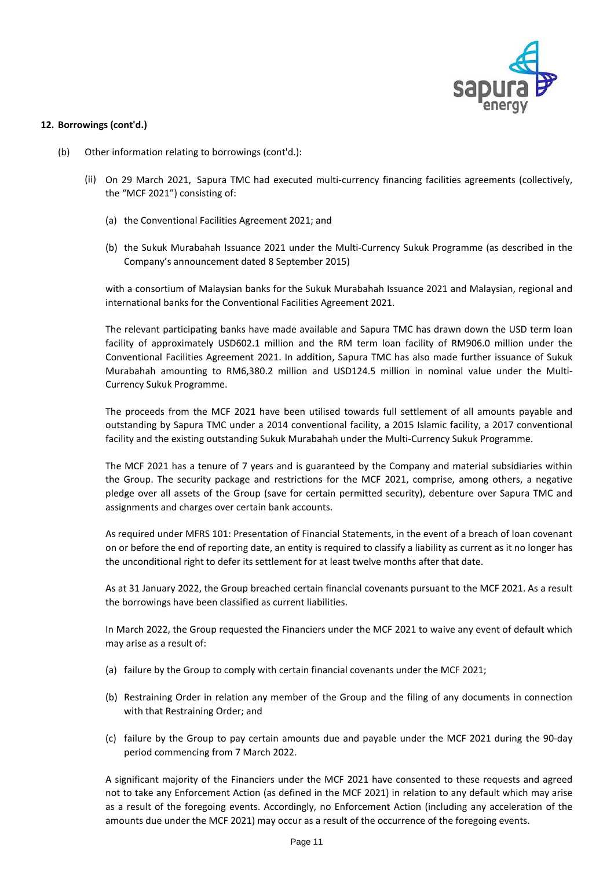

### **12. Borrowings (cont'd.)**

- (b) Other information relating to borrowings (cont'd.):
	- (ii) On 29 March 2021, Sapura TMC had executed multi-currency financing facilities agreements (collectively, the "MCF 2021") consisting of:
		- (a) the Conventional Facilities Agreement 2021; and
		- (b) the Sukuk Murabahah Issuance 2021 under the Multi-Currency Sukuk Programme (as described in the Company's announcement dated 8 September 2015)

with a consortium of Malaysian banks for the Sukuk Murabahah Issuance 2021 and Malaysian, regional and international banks for the Conventional Facilities Agreement 2021.

The relevant participating banks have made available and Sapura TMC has drawn down the USD term loan facility of approximately USD602.1 million and the RM term loan facility of RM906.0 million under the Conventional Facilities Agreement 2021. In addition, Sapura TMC has also made further issuance of Sukuk Murabahah amounting to RM6,380.2 million and USD124.5 million in nominal value under the Multi-Currency Sukuk Programme.

The proceeds from the MCF 2021 have been utilised towards full settlement of all amounts payable and outstanding by Sapura TMC under a 2014 conventional facility, a 2015 Islamic facility, a 2017 conventional facility and the existing outstanding Sukuk Murabahah under the Multi-Currency Sukuk Programme.

The MCF 2021 has a tenure of 7 years and is guaranteed by the Company and material subsidiaries within the Group. The security package and restrictions for the MCF 2021, comprise, among others, a negative pledge over all assets of the Group (save for certain permitted security), debenture over Sapura TMC and assignments and charges over certain bank accounts.

As required under MFRS 101: Presentation of Financial Statements, in the event of a breach of loan covenant on or before the end of reporting date, an entity is required to classify a liability as current as it no longer has the unconditional right to defer its settlement for at least twelve months after that date.

As at 31 January 2022, the Group breached certain financial covenants pursuant to the MCF 2021. As a result the borrowings have been classified as current liabilities.

In March 2022, the Group requested the Financiers under the MCF 2021 to waive any event of default which may arise as a result of:

- (a) failure by the Group to comply with certain financial covenants under the MCF 2021;
- (b) Restraining Order in relation any member of the Group and the filing of any documents in connection with that Restraining Order; and
- (c) failure by the Group to pay certain amounts due and payable under the MCF 2021 during the 90-day period commencing from 7 March 2022.

A significant majority of the Financiers under the MCF 2021 have consented to these requests and agreed not to take any Enforcement Action (as defined in the MCF 2021) in relation to any default which may arise as a result of the foregoing events. Accordingly, no Enforcement Action (including any acceleration of the amounts due under the MCF 2021) may occur as a result of the occurrence of the foregoing events.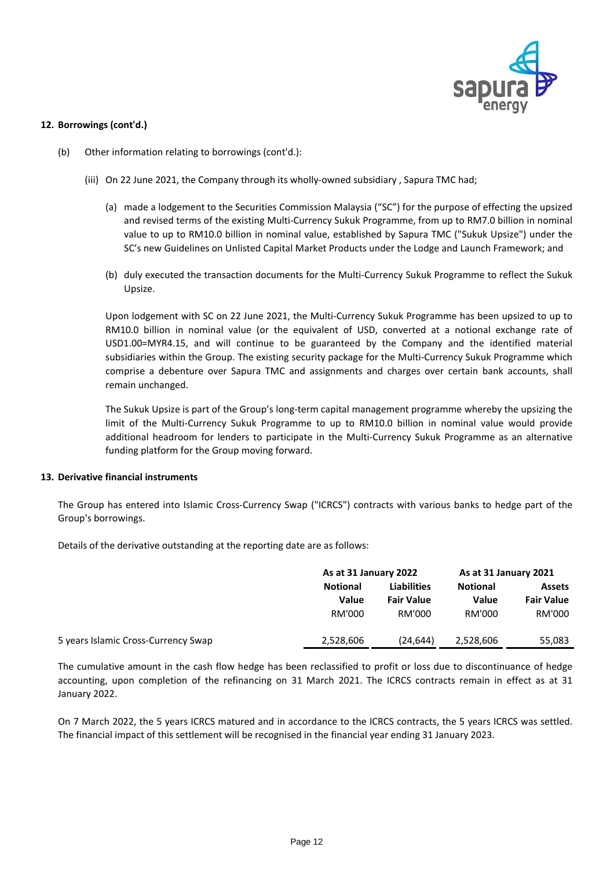

### **12. Borrowings (cont'd.)**

- (b) Other information relating to borrowings (cont'd.):
	- (iii) On 22 June 2021, the Company through its wholly-owned subsidiary , Sapura TMC had;
		- (a) made a lodgement to the Securities Commission Malaysia ("SC") for the purpose of effecting the upsized and revised terms of the existing Multi-Currency Sukuk Programme, from up to RM7.0 billion in nominal value to up to RM10.0 billion in nominal value, established by Sapura TMC ("Sukuk Upsize") under the SC's new Guidelines on Unlisted Capital Market Products under the Lodge and Launch Framework; and
		- (b) duly executed the transaction documents for the Multi-Currency Sukuk Programme to reflect the Sukuk Upsize.

Upon lodgement with SC on 22 June 2021, the Multi-Currency Sukuk Programme has been upsized to up to RM10.0 billion in nominal value (or the equivalent of USD, converted at a notional exchange rate of USD1.00=MYR4.15, and will continue to be guaranteed by the Company and the identified material subsidiaries within the Group. The existing security package for the Multi-Currency Sukuk Programme which comprise a debenture over Sapura TMC and assignments and charges over certain bank accounts, shall remain unchanged.

The Sukuk Upsize is part of the Group's long-term capital management programme whereby the upsizing the limit of the Multi-Currency Sukuk Programme to up to RM10.0 billion in nominal value would provide additional headroom for lenders to participate in the Multi-Currency Sukuk Programme as an alternative funding platform for the Group moving forward.

### **13. Derivative financial instruments**

The Group has entered into Islamic Cross-Currency Swap ("ICRCS") contracts with various banks to hedge part of the Group's borrowings.

Details of the derivative outstanding at the reporting date are as follows:

|                                     | As at 31 January 2022 |                    | As at 31 January 2021 |                   |  |
|-------------------------------------|-----------------------|--------------------|-----------------------|-------------------|--|
|                                     | <b>Notional</b>       | <b>Liabilities</b> | <b>Notional</b>       | <b>Assets</b>     |  |
|                                     | Value                 | <b>Fair Value</b>  | Value                 | <b>Fair Value</b> |  |
|                                     | RM'000                | RM'000             | RM'000                | RM'000            |  |
| 5 years Islamic Cross-Currency Swap | 2,528,606             | (24, 644)          | 2,528,606             | 55,083            |  |

The cumulative amount in the cash flow hedge has been reclassified to profit or loss due to discontinuance of hedge accounting, upon completion of the refinancing on 31 March 2021. The ICRCS contracts remain in effect as at 31 January 2022.

On 7 March 2022, the 5 years ICRCS matured and in accordance to the ICRCS contracts, the 5 years ICRCS was settled. The financial impact of this settlement will be recognised in the financial year ending 31 January 2023.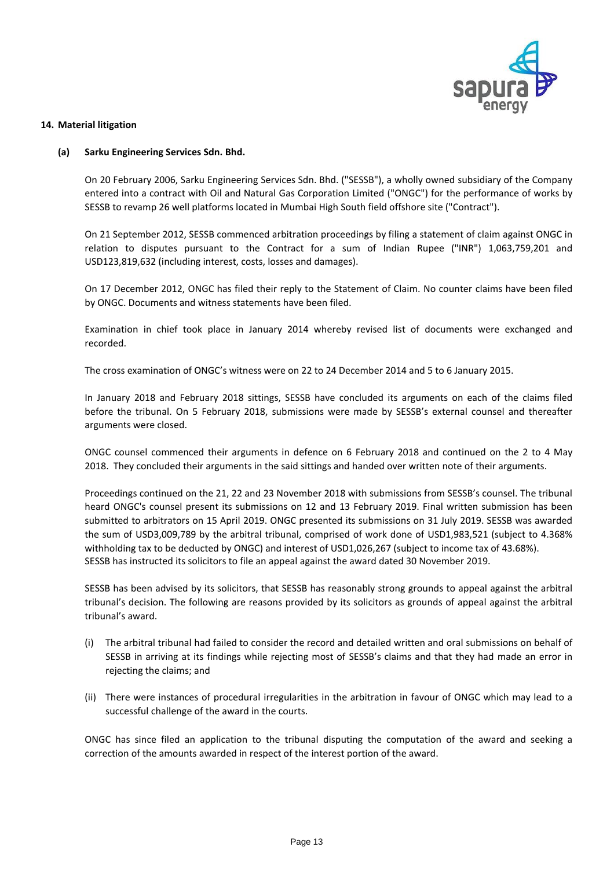

### **14. Material litigation**

### **(a) Sarku Engineering Services Sdn. Bhd.**

On 20 February 2006, Sarku Engineering Services Sdn. Bhd. ("SESSB"), a wholly owned subsidiary of the Company entered into a contract with Oil and Natural Gas Corporation Limited ("ONGC") for the performance of works by SESSB to revamp 26 well platforms located in Mumbai High South field offshore site ("Contract").

On 21 September 2012, SESSB commenced arbitration proceedings by filing a statement of claim against ONGC in relation to disputes pursuant to the Contract for a sum of Indian Rupee ("INR") 1,063,759,201 and USD123,819,632 (including interest, costs, losses and damages).

On 17 December 2012, ONGC has filed their reply to the Statement of Claim. No counter claims have been filed by ONGC. Documents and witness statements have been filed.

Examination in chief took place in January 2014 whereby revised list of documents were exchanged and recorded.

The cross examination of ONGC's witness were on 22 to 24 December 2014 and 5 to 6 January 2015.

In January 2018 and February 2018 sittings, SESSB have concluded its arguments on each of the claims filed before the tribunal. On 5 February 2018, submissions were made by SESSB's external counsel and thereafter arguments were closed.

ONGC counsel commenced their arguments in defence on 6 February 2018 and continued on the 2 to 4 May 2018. They concluded their arguments in the said sittings and handed over written note of their arguments.

SESSB has instructed its solicitors to file an appeal against the award dated 30 November 2019. Proceedings continued on the 21, 22 and 23 November 2018 with submissions from SESSB's counsel. The tribunal heard ONGC's counsel present its submissions on 12 and 13 February 2019. Final written submission has been submitted to arbitrators on 15 April 2019. ONGC presented its submissions on 31 July 2019. SESSB was awarded the sum of USD3,009,789 by the arbitral tribunal, comprised of work done of USD1,983,521 (subject to 4.368% withholding tax to be deducted by ONGC) and interest of USD1,026,267 (subject to income tax of 43.68%).

SESSB has been advised by its solicitors, that SESSB has reasonably strong grounds to appeal against the arbitral tribunal's decision. The following are reasons provided by its solicitors as grounds of appeal against the arbitral tribunal's award.

- (i) The arbitral tribunal had failed to consider the record and detailed written and oral submissions on behalf of SESSB in arriving at its findings while rejecting most of SESSB's claims and that they had made an error in rejecting the claims; and
- (ii) There were instances of procedural irregularities in the arbitration in favour of ONGC which may lead to a successful challenge of the award in the courts.

ONGC has since filed an application to the tribunal disputing the computation of the award and seeking a correction of the amounts awarded in respect of the interest portion of the award.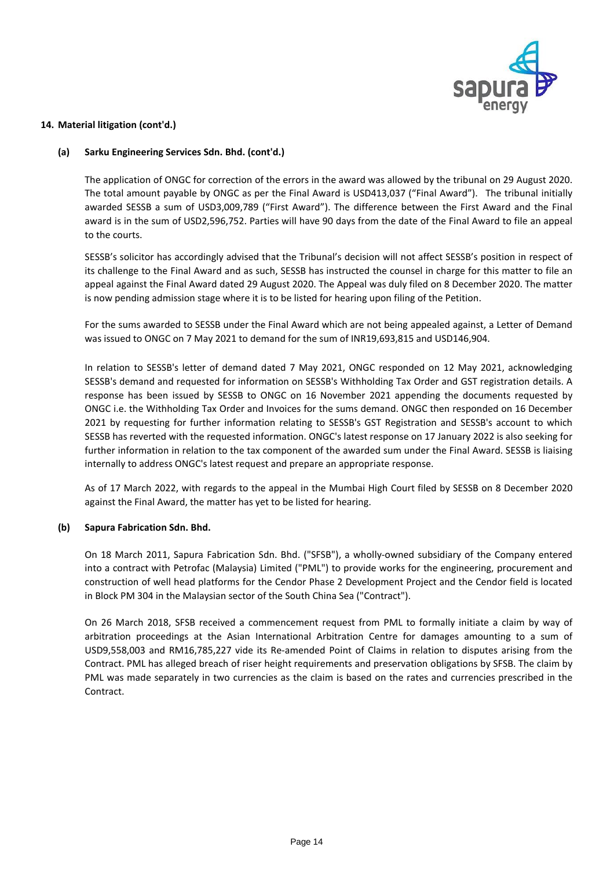

### **(a) Sarku Engineering Services Sdn. Bhd. (cont'd.)**

The application of ONGC for correction of the errors in the award was allowed by the tribunal on 29 August 2020. The total amount payable by ONGC as per the Final Award is USD413,037 ("Final Award"). The tribunal initially awarded SESSB a sum of USD3,009,789 ("First Award"). The difference between the First Award and the Final award is in the sum of USD2,596,752. Parties will have 90 days from the date of the Final Award to file an appeal to the courts.

SESSB's solicitor has accordingly advised that the Tribunal's decision will not affect SESSB's position in respect of its challenge to the Final Award and as such, SESSB has instructed the counsel in charge for this matter to file an appeal against the Final Award dated 29 August 2020. The Appeal was duly filed on 8 December 2020. The matter is now pending admission stage where it is to be listed for hearing upon filing of the Petition.

For the sums awarded to SESSB under the Final Award which are not being appealed against, a Letter of Demand was issued to ONGC on 7 May 2021 to demand for the sum of INR19,693,815 and USD146,904.

In relation to SESSB's letter of demand dated 7 May 2021, ONGC responded on 12 May 2021, acknowledging SESSB's demand and requested for information on SESSB's Withholding Tax Order and GST registration details. A response has been issued by SESSB to ONGC on 16 November 2021 appending the documents requested by ONGC i.e. the Withholding Tax Order and Invoices for the sums demand. ONGC then responded on 16 December 2021 by requesting for further information relating to SESSB's GST Registration and SESSB's account to which SESSB has reverted with the requested information. ONGC's latest response on 17 January 2022 is also seeking for further information in relation to the tax component of the awarded sum under the Final Award. SESSB is liaising internally to address ONGC's latest request and prepare an appropriate response.

As of 17 March 2022, with regards to the appeal in the Mumbai High Court filed by SESSB on 8 December 2020 against the Final Award, the matter has yet to be listed for hearing.

#### **(b) Sapura Fabrication Sdn. Bhd.**

On 18 March 2011, Sapura Fabrication Sdn. Bhd. ("SFSB"), a wholly-owned subsidiary of the Company entered into a contract with Petrofac (Malaysia) Limited ("PML") to provide works for the engineering, procurement and construction of well head platforms for the Cendor Phase 2 Development Project and the Cendor field is located in Block PM 304 in the Malaysian sector of the South China Sea ("Contract").

On 26 March 2018, SFSB received a commencement request from PML to formally initiate a claim by way of arbitration proceedings at the Asian International Arbitration Centre for damages amounting to a sum of USD9,558,003 and RM16,785,227 vide its Re-amended Point of Claims in relation to disputes arising from the Contract. PML has alleged breach of riser height requirements and preservation obligations by SFSB. The claim by PML was made separately in two currencies as the claim is based on the rates and currencies prescribed in the Contract.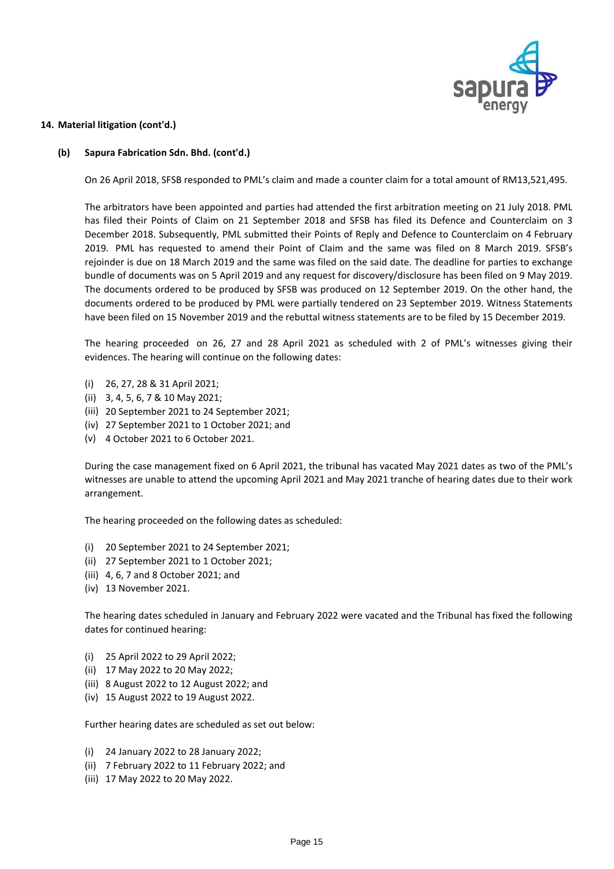

#### **(b) Sapura Fabrication Sdn. Bhd. (cont'd.)**

On 26 April 2018, SFSB responded to PML's claim and made a counter claim for a total amount of RM13,521,495.

The arbitrators have been appointed and parties had attended the first arbitration meeting on 21 July 2018. PML has filed their Points of Claim on 21 September 2018 and SFSB has filed its Defence and Counterclaim on 3 December 2018. Subsequently, PML submitted their Points of Reply and Defence to Counterclaim on 4 February 2019. PML has requested to amend their Point of Claim and the same was filed on 8 March 2019. SFSB's rejoinder is due on 18 March 2019 and the same was filed on the said date. The deadline for parties to exchange bundle of documents was on 5 April 2019 and any request for discovery/disclosure has been filed on 9 May 2019. The documents ordered to be produced by SFSB was produced on 12 September 2019. On the other hand, the documents ordered to be produced by PML were partially tendered on 23 September 2019. Witness Statements have been filed on 15 November 2019 and the rebuttal witness statements are to be filed by 15 December 2019.

The hearing proceeded on 26, 27 and 28 April 2021 as scheduled with 2 of PML's witnesses giving their evidences. The hearing will continue on the following dates:

- (i) 26, 27, 28 & 31 April 2021;
- (ii) 3, 4, 5, 6, 7 & 10 May 2021;
- (iii) 20 September 2021 to 24 September 2021;
- (iv) 27 September 2021 to 1 October 2021; and
- (v) 4 October 2021 to 6 October 2021.

During the case management fixed on 6 April 2021, the tribunal has vacated May 2021 dates as two of the PML's witnesses are unable to attend the upcoming April 2021 and May 2021 tranche of hearing dates due to their work arrangement.

The hearing proceeded on the following dates as scheduled:

- (i) 20 September 2021 to 24 September 2021;
- (ii) 27 September 2021 to 1 October 2021;
- (iii) 4, 6, 7 and 8 October 2021; and
- (iv) 13 November 2021.

The hearing dates scheduled in January and February 2022 were vacated and the Tribunal has fixed the following dates for continued hearing:

- (i) 25 April 2022 to 29 April 2022;
- (ii) 17 May 2022 to 20 May 2022;
- (iii) 8 August 2022 to 12 August 2022; and
- (iv) 15 August 2022 to 19 August 2022.

Further hearing dates are scheduled as set out below:

- (i) 24 January 2022 to 28 January 2022;
- (ii) 7 February 2022 to 11 February 2022; and
- (iii) 17 May 2022 to 20 May 2022.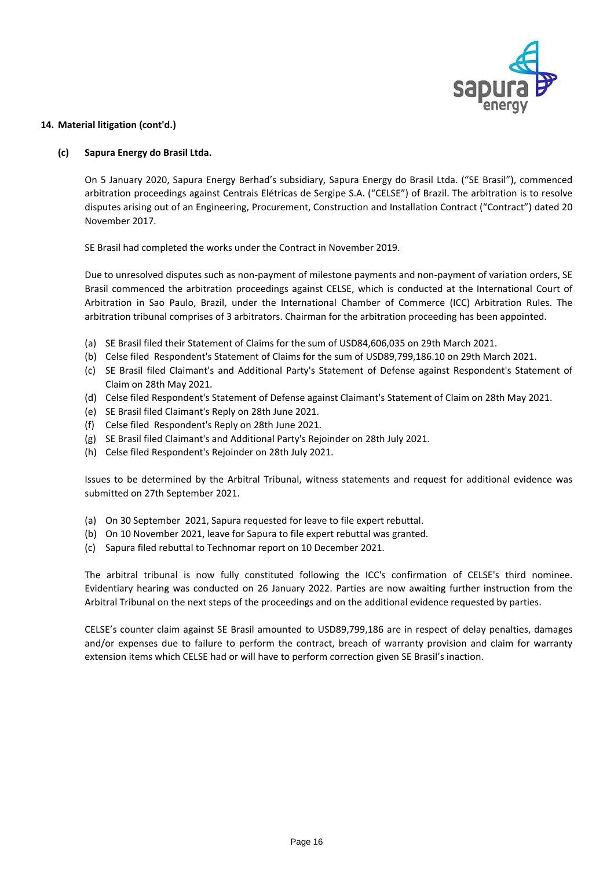

#### **(c) Sapura Energy do Brasil Ltda.**

On 5 January 2020, Sapura Energy Berhad's subsidiary, Sapura Energy do Brasil Ltda. ("SE Brasil"), commenced arbitration proceedings against Centrais Elétricas de Sergipe S.A. ("CELSE") of Brazil. The arbitration is to resolve disputes arising out of an Engineering, Procurement, Construction and Installation Contract ("Contract") dated 20 November 2017.

SE Brasil had completed the works under the Contract in November 2019.

Due to unresolved disputes such as non-payment of milestone payments and non-payment of variation orders, SE Brasil commenced the arbitration proceedings against CELSE, which is conducted at the International Court of Arbitration in Sao Paulo, Brazil, under the International Chamber of Commerce (ICC) Arbitration Rules. The arbitration tribunal comprises of 3 arbitrators. Chairman for the arbitration proceeding has been appointed.

- (a) SE Brasil filed their Statement of Claims for the sum of USD84,606,035 on 29th March 2021.
- (b) Celse filed Respondent's Statement of Claims for the sum of USD89,799,186.10 on 29th March 2021.
- (c) SE Brasil filed Claimant's and Additional Party's Statement of Defense against Respondent's Statement of Claim on 28th May 2021.
- (d) Celse filed Respondent's Statement of Defense against Claimant's Statement of Claim on 28th May 2021.
- (e) SE Brasil filed Claimant's Reply on 28th June 2021.
- (f) Celse filed Respondent's Reply on 28th June 2021.
- (g) SE Brasil filed Claimant's and Additional Party's Rejoinder on 28th July 2021.
- (h) Celse filed Respondent's Rejoinder on 28th July 2021.

Issues to be determined by the Arbitral Tribunal, witness statements and request for additional evidence was submitted on 27th September 2021.

- (a) On 30 September 2021, Sapura requested for leave to file expert rebuttal.
- (b) On 10 November 2021, leave for Sapura to file expert rebuttal was granted.
- (c) Sapura filed rebuttal to Technomar report on 10 December 2021.

The arbitral tribunal is now fully constituted following the ICC's confirmation of CELSE's third nominee. Evidentiary hearing was conducted on 26 January 2022. Parties are now awaiting further instruction from the Arbitral Tribunal on the next steps of the proceedings and on the additional evidence requested by parties.

CELSE's counter claim against SE Brasil amounted to USD89,799,186 are in respect of delay penalties, damages and/or expenses due to failure to perform the contract, breach of warranty provision and claim for warranty extension items which CELSE had or will have to perform correction given SE Brasil's inaction.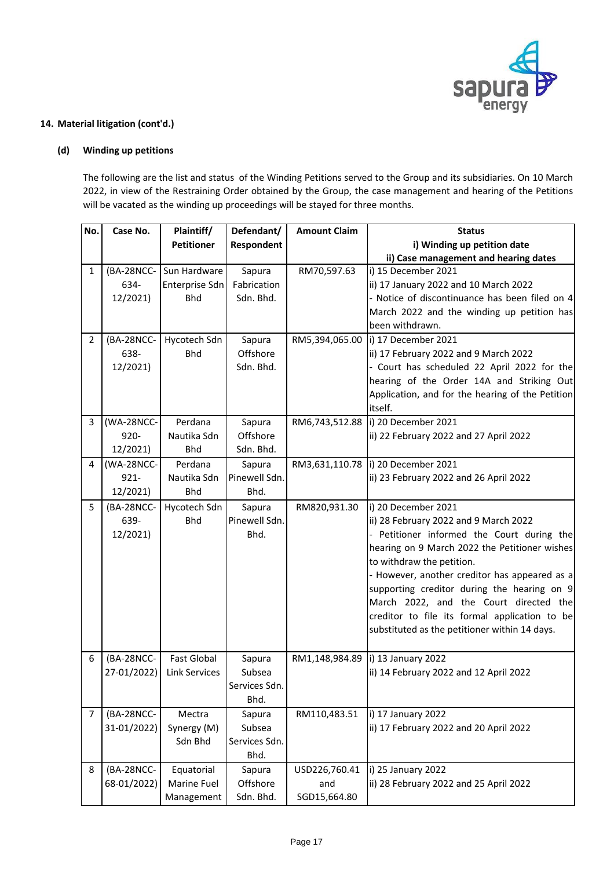

# **(d) Winding up petitions**

The following are the list and status of the Winding Petitions served to the Group and its subsidiaries. On 10 March 2022, in view of the Restraining Order obtained by the Group, the case management and hearing of the Petitions will be vacated as the winding up proceedings will be stayed for three months.

| No.            | Case No.    | Plaintiff/              | Defendant/    | <b>Amount Claim</b> | <b>Status</b>                                    |
|----------------|-------------|-------------------------|---------------|---------------------|--------------------------------------------------|
|                |             | <b>Petitioner</b>       | Respondent    |                     | i) Winding up petition date                      |
|                |             |                         |               |                     | ii) Case management and hearing dates            |
| $\mathbf{1}$   |             | (BA-28NCC- Sun Hardware | Sapura        | RM70,597.63         | i) 15 December 2021                              |
|                | 634-        | Enterprise Sdn          | Fabrication   |                     | ii) 17 January 2022 and 10 March 2022            |
|                | 12/2021)    | <b>Bhd</b>              | Sdn. Bhd.     |                     | - Notice of discontinuance has been filed on 4   |
|                |             |                         |               |                     | March 2022 and the winding up petition has       |
|                |             |                         |               |                     | been withdrawn.                                  |
| $\overline{2}$ | (BA-28NCC-  | Hycotech Sdn            | Sapura        |                     | RM5,394,065.00  i) 17 December 2021              |
|                | 638-        | <b>Bhd</b>              | Offshore      |                     | ii) 17 February 2022 and 9 March 2022            |
|                | 12/2021)    |                         | Sdn. Bhd.     |                     | - Court has scheduled 22 April 2022 for the      |
|                |             |                         |               |                     | hearing of the Order 14A and Striking Out        |
|                |             |                         |               |                     | Application, and for the hearing of the Petition |
|                |             |                         |               |                     | itself.                                          |
| 3              | (WA-28NCC-  | Perdana                 | Sapura        |                     | RM6,743,512.88  i) 20 December 2021              |
|                | $920 -$     | Nautika Sdn             | Offshore      |                     | ii) 22 February 2022 and 27 April 2022           |
|                | 12/2021)    | <b>Bhd</b>              | Sdn. Bhd.     |                     |                                                  |
| $\overline{4}$ | (WA-28NCC-  | Perdana                 | Sapura        |                     | RM3,631,110.78  i) 20 December 2021              |
|                | $921 -$     | Nautika Sdn             | Pinewell Sdn. |                     | ii) 23 February 2022 and 26 April 2022           |
|                | 12/2021)    | <b>Bhd</b>              | Bhd.          |                     |                                                  |
| 5              | (BA-28NCC-  | Hycotech Sdn            | Sapura        | RM820,931.30        | i) 20 December 2021                              |
|                | 639-        | <b>Bhd</b>              | Pinewell Sdn. |                     | ii) 28 February 2022 and 9 March 2022            |
|                | 12/2021)    |                         | Bhd.          |                     | - Petitioner informed the Court during the       |
|                |             |                         |               |                     | hearing on 9 March 2022 the Petitioner wishes    |
|                |             |                         |               |                     | to withdraw the petition.                        |
|                |             |                         |               |                     | - However, another creditor has appeared as a    |
|                |             |                         |               |                     | supporting creditor during the hearing on 9      |
|                |             |                         |               |                     | March 2022, and the Court directed the           |
|                |             |                         |               |                     | creditor to file its formal application to be    |
|                |             |                         |               |                     | substituted as the petitioner within 14 days.    |
|                |             |                         |               |                     |                                                  |
| 6              | (BA-28NCC-  | <b>Fast Global</b>      | Sapura        | RM1,148,984.89      | i) 13 January 2022                               |
|                | 27-01/2022) | <b>Link Services</b>    | Subsea        |                     | ii) 14 February 2022 and 12 April 2022           |
|                |             |                         | Services Sdn. |                     |                                                  |
|                |             |                         | Bhd.          |                     |                                                  |
| $\overline{7}$ | (BA-28NCC-  | Mectra                  | Sapura        | RM110,483.51        | i) 17 January 2022                               |
|                | 31-01/2022) | Synergy (M)             | Subsea        |                     | ii) 17 February 2022 and 20 April 2022           |
|                |             | Sdn Bhd                 | Services Sdn. |                     |                                                  |
|                |             |                         | Bhd.          |                     |                                                  |
| 8              | (BA-28NCC-  | Equatorial              | Sapura        | USD226,760.41       | i) 25 January 2022                               |
|                | 68-01/2022) | Marine Fuel             | Offshore      | and                 | ii) 28 February 2022 and 25 April 2022           |
|                |             | Management              | Sdn. Bhd.     | SGD15,664.80        |                                                  |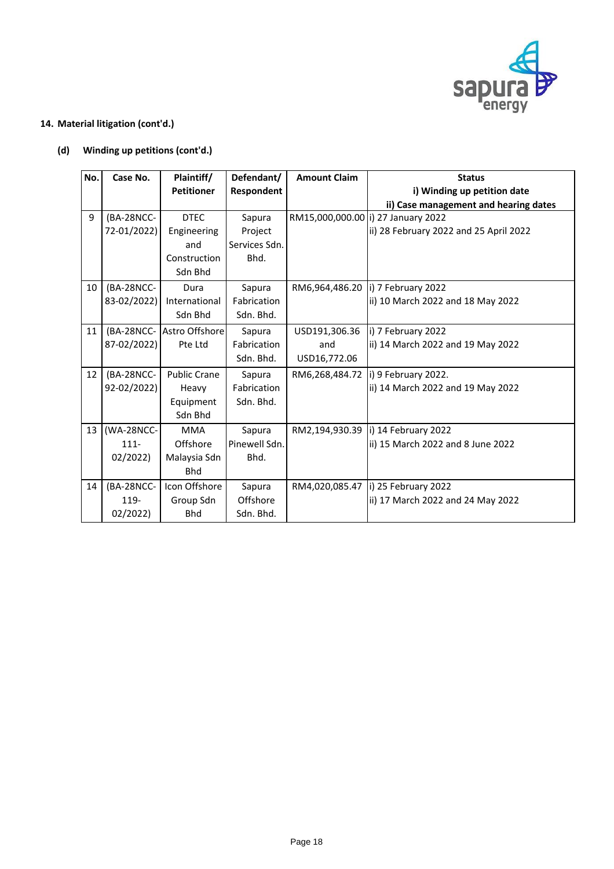

# **(d) Winding up petitions (cont'd.)**

| No. | Case No.    | Plaintiff/                | Defendant/    | <b>Amount Claim</b> | <b>Status</b>                          |
|-----|-------------|---------------------------|---------------|---------------------|----------------------------------------|
|     |             | <b>Petitioner</b>         | Respondent    |                     | i) Winding up petition date            |
|     |             |                           |               |                     | ii) Case management and hearing dates  |
| 9   | (BA-28NCC-  | <b>DTEC</b>               | Sapura        |                     | RM15,000,000.00  i) 27 January 2022    |
|     | 72-01/2022) | Engineering               | Project       |                     | ii) 28 February 2022 and 25 April 2022 |
|     |             | and                       | Services Sdn. |                     |                                        |
|     |             | Construction              | Bhd.          |                     |                                        |
|     |             | Sdn Bhd                   |               |                     |                                        |
| 10  | (BA-28NCC-  | Dura                      | Sapura        | RM6,964,486.20      | i) 7 February 2022                     |
|     | 83-02/2022) | International             | Fabrication   |                     | ii) 10 March 2022 and 18 May 2022      |
|     |             | Sdn Bhd                   | Sdn. Bhd.     |                     |                                        |
| 11  |             | (BA-28NCC- Astro Offshore | Sapura        | USD191,306.36       | i) 7 February 2022                     |
|     | 87-02/2022) | Pte Ltd                   | Fabrication   | and                 | ii) 14 March 2022 and 19 May 2022      |
|     |             |                           | Sdn. Bhd.     | USD16,772.06        |                                        |
| 12  | (BA-28NCC-  | <b>Public Crane</b>       | Sapura        | RM6,268,484.72      | i) 9 February 2022.                    |
|     | 92-02/2022) | Heavy                     | Fabrication   |                     | ii) 14 March 2022 and 19 May 2022      |
|     |             | Equipment                 | Sdn. Bhd.     |                     |                                        |
|     |             | Sdn Bhd                   |               |                     |                                        |
| 13  | (WA-28NCC-  | <b>MMA</b>                | Sapura        | RM2,194,930.39      | i) 14 February 2022                    |
|     | $111 -$     | Offshore                  | Pinewell Sdn. |                     | ii) 15 March 2022 and 8 June 2022      |
|     | 02/2022     | Malaysia Sdn              | Bhd.          |                     |                                        |
|     |             | <b>Bhd</b>                |               |                     |                                        |
| 14  | (BA-28NCC-  | Icon Offshore             | Sapura        | RM4,020,085.47      | i) 25 February 2022                    |
|     | 119-        | Group Sdn                 | Offshore      |                     | ii) 17 March 2022 and 24 May 2022      |
|     | 02/2022     | <b>Bhd</b>                | Sdn. Bhd.     |                     |                                        |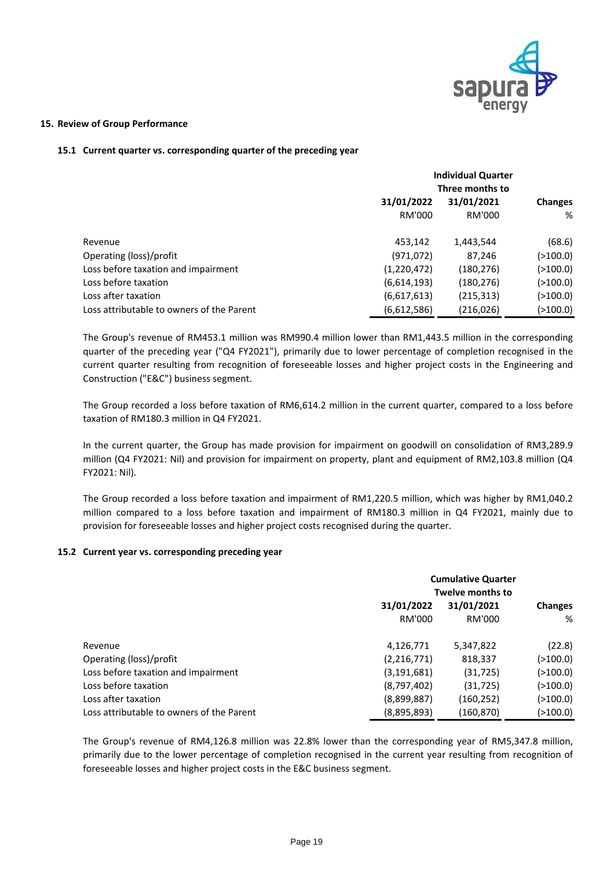

### **15. Review of Group Performance**

### **15.1 Current quarter vs. corresponding quarter of the preceding year**

|                                           | <b>Individual Quarter</b><br>Three months to |            |            |  |
|-------------------------------------------|----------------------------------------------|------------|------------|--|
|                                           | 31/01/2022<br>31/01/2021                     |            |            |  |
|                                           | RM'000                                       | RM'000     | %          |  |
| Revenue                                   | 453,142                                      | 1,443,544  | (68.6)     |  |
| Operating (loss)/profit                   | (971, 072)                                   | 87,246     | ( > 100.0) |  |
| Loss before taxation and impairment       | (1,220,472)                                  | (180, 276) | ( > 100.0) |  |
| Loss before taxation                      | (6,614,193)                                  | (180, 276) | ( > 100.0) |  |
| Loss after taxation                       | (6,617,613)                                  | (215, 313) | ( > 100.0) |  |
| Loss attributable to owners of the Parent | (6,612,586)                                  | (216, 026) | (>100.0)   |  |

The Group's revenue of RM453.1 million was RM990.4 million lower than RM1,443.5 million in the corresponding quarter of the preceding year ("Q4 FY2021"), primarily due to lower percentage of completion recognised in the current quarter resulting from recognition of foreseeable losses and higher project costs in the Engineering and Construction ("E&C") business segment.

The Group recorded a loss before taxation of RM6,614.2 million in the current quarter, compared to a loss before taxation of RM180.3 million in Q4 FY2021.

In the current quarter, the Group has made provision for impairment on goodwill on consolidation of RM3,289.9 million (Q4 FY2021: Nil) and provision for impairment on property, plant and equipment of RM2,103.8 million (Q4 FY2021: Nil).

The Group recorded a loss before taxation and impairment of RM1,220.5 million, which was higher by RM1,040.2 million compared to a loss before taxation and impairment of RM180.3 million in Q4 FY2021, mainly due to provision for foreseeable losses and higher project costs recognised during the quarter.

### **15.2 Current year vs. corresponding preceding year**

|                                           | <b>Cumulative Quarter</b><br><b>Twelve months to</b> |                      |            |  |
|-------------------------------------------|------------------------------------------------------|----------------------|------------|--|
|                                           | 31/01/2022                                           | <b>Changes</b>       |            |  |
|                                           | RM'000                                               | 31/01/2021<br>RM'000 | %          |  |
| Revenue                                   | 4,126,771                                            | 5,347,822            | (22.8)     |  |
| Operating (loss)/profit                   | (2, 216, 771)                                        | 818,337              | ( > 100.0) |  |
| Loss before taxation and impairment       | (3, 191, 681)                                        | (31, 725)            | ( > 100.0) |  |
| Loss before taxation                      | (8,797,402)                                          | (31, 725)            | (>100.0)   |  |
| Loss after taxation                       | (8,899,887)                                          | (160, 252)           | ( > 100.0) |  |
| Loss attributable to owners of the Parent | (8,895,893)                                          | (160, 870)           | (>100.0)   |  |

The Group's revenue of RM4,126.8 million was 22.8% lower than the corresponding year of RM5,347.8 million, primarily due to the lower percentage of completion recognised in the current year resulting from recognition of foreseeable losses and higher project costs in the E&C business segment.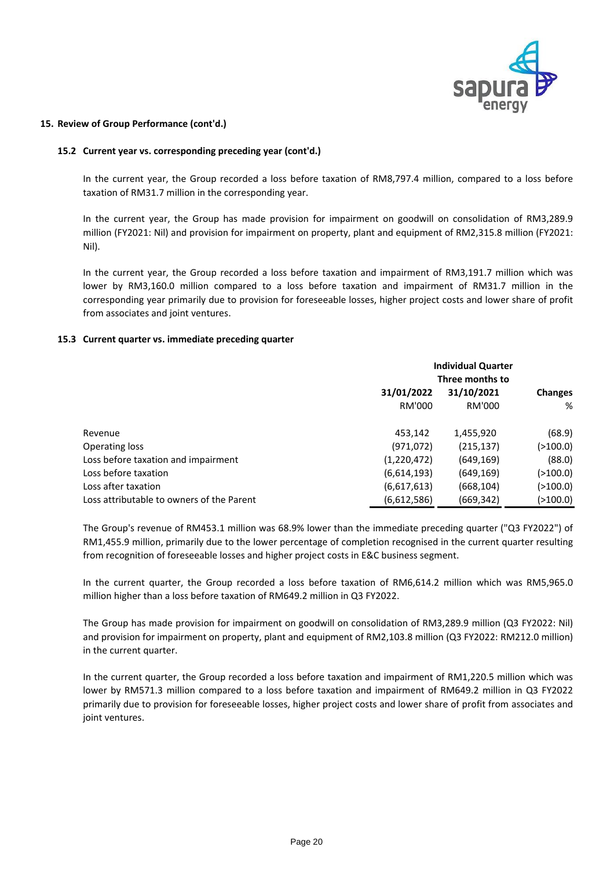

### **15. Review of Group Performance (cont'd.)**

### **15.2 Current year vs. corresponding preceding year (cont'd.)**

In the current year, the Group recorded a loss before taxation of RM8,797.4 million, compared to a loss before taxation of RM31.7 million in the corresponding year.

In the current year, the Group has made provision for impairment on goodwill on consolidation of RM3,289.9 million (FY2021: Nil) and provision for impairment on property, plant and equipment of RM2,315.8 million (FY2021: Nil).

In the current year, the Group recorded a loss before taxation and impairment of RM3,191.7 million which was lower by RM3,160.0 million compared to a loss before taxation and impairment of RM31.7 million in the corresponding year primarily due to provision for foreseeable losses, higher project costs and lower share of profit from associates and joint ventures.

### **15.3 Current quarter vs. immediate preceding quarter**

|                                           | <b>Individual Quarter</b> |                |            |  |
|-------------------------------------------|---------------------------|----------------|------------|--|
|                                           | Three months to           |                |            |  |
|                                           | 31/01/2022                | <b>Changes</b> |            |  |
|                                           | RM'000                    | RM'000         | %          |  |
| Revenue                                   | 453,142                   | 1,455,920      | (68.9)     |  |
| Operating loss                            | (971, 072)                | (215, 137)     | ( > 100.0) |  |
| Loss before taxation and impairment       | (1,220,472)               | (649, 169)     | (88.0)     |  |
| Loss before taxation                      | (6,614,193)               | (649, 169)     | ( > 100.0) |  |
| Loss after taxation                       | (6,617,613)               | (668, 104)     | ( > 100.0) |  |
| Loss attributable to owners of the Parent | (6,612,586)               | (669,342)      | (>100.0)   |  |

The Group's revenue of RM453.1 million was 68.9% lower than the immediate preceding quarter ("Q3 FY2022") of RM1,455.9 million, primarily due to the lower percentage of completion recognised in the current quarter resulting from recognition of foreseeable losses and higher project costs in E&C business segment.

In the current quarter, the Group recorded a loss before taxation of RM6,614.2 million which was RM5,965.0 million higher than a loss before taxation of RM649.2 million in Q3 FY2022.

The Group has made provision for impairment on goodwill on consolidation of RM3,289.9 million (Q3 FY2022: Nil) and provision for impairment on property, plant and equipment of RM2,103.8 million (Q3 FY2022: RM212.0 million) in the current quarter.

In the current quarter, the Group recorded a loss before taxation and impairment of RM1,220.5 million which was lower by RM571.3 million compared to a loss before taxation and impairment of RM649.2 million in Q3 FY2022 primarily due to provision for foreseeable losses, higher project costs and lower share of profit from associates and joint ventures.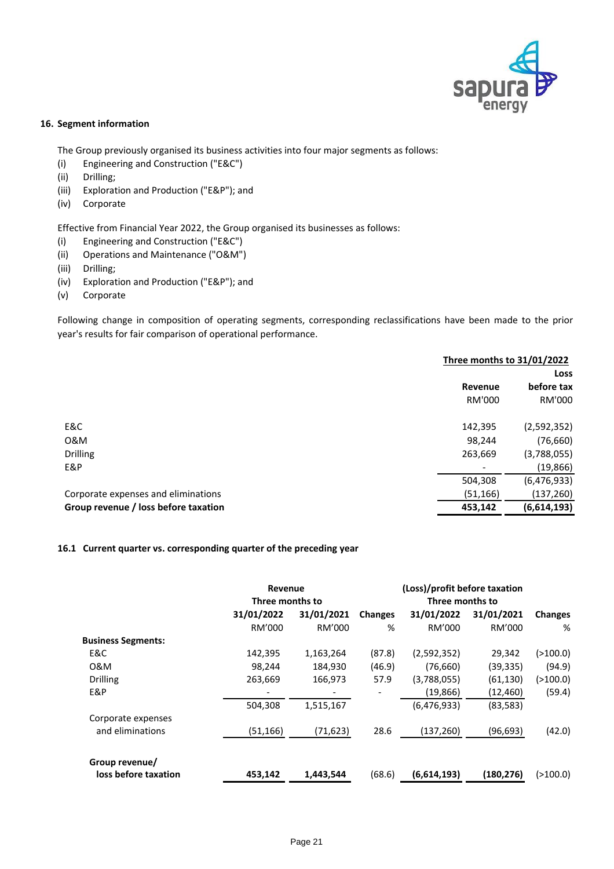

### **16. Segment information**

The Group previously organised its business activities into four major segments as follows:

- (i) Engineering and Construction ("E&C")
- (ii) Drilling;
- (iii) Exploration and Production ("E&P"); and
- (iv) Corporate

Effective from Financial Year 2022, the Group organised its businesses as follows:

- (i) Engineering and Construction ("E&C")
- (ii) Operations and Maintenance ("O&M")
- (iii) Drilling;
- (iv) Exploration and Production ("E&P"); and
- (v) Corporate

Following change in composition of operating segments, corresponding reclassifications have been made to the prior year's results for fair comparison of operational performance.

|                                      | Three months to 31/01/2022 |               |  |
|--------------------------------------|----------------------------|---------------|--|
|                                      |                            | <b>Loss</b>   |  |
|                                      | Revenue                    | before tax    |  |
|                                      | RM'000                     | RM'000        |  |
| E&C                                  | 142,395                    | (2,592,352)   |  |
| 0&M                                  | 98,244                     | (76, 660)     |  |
| <b>Drilling</b>                      | 263,669                    | (3,788,055)   |  |
| E&P                                  |                            | (19, 866)     |  |
|                                      | 504,308                    | (6, 476, 933) |  |
| Corporate expenses and eliminations  | (51, 166)                  | (137, 260)    |  |
| Group revenue / loss before taxation | 453,142                    | (6,614,193)   |  |

### **16.1 Current quarter vs. corresponding quarter of the preceding year**

|                           | Revenue<br>Three months to |            | (Loss)/profit before taxation<br>Three months to |             |            |                |
|---------------------------|----------------------------|------------|--------------------------------------------------|-------------|------------|----------------|
|                           | 31/01/2022                 | 31/01/2021 | <b>Changes</b>                                   | 31/01/2022  | 31/01/2021 | <b>Changes</b> |
|                           | RM'000                     | RM'000     | %                                                | RM'000      | RM'000     | %              |
| <b>Business Segments:</b> |                            |            |                                                  |             |            |                |
| E&C                       | 142,395                    | 1,163,264  | (87.8)                                           | (2,592,352) | 29,342     | ( > 100.0)     |
| 0&M                       | 98,244                     | 184,930    | (46.9)                                           | (76, 660)   | (39, 335)  | (94.9)         |
| <b>Drilling</b>           | 263,669                    | 166,973    | 57.9                                             | (3,788,055) | (61, 130)  | ( > 100.0)     |
| E&P                       |                            |            |                                                  | (19, 866)   | (12, 460)  | (59.4)         |
|                           | 504,308                    | 1,515,167  |                                                  | (6,476,933) | (83, 583)  |                |
| Corporate expenses        |                            |            |                                                  |             |            |                |
| and eliminations          | (51, 166)                  | (71, 623)  | 28.6                                             | (137, 260)  | (96, 693)  | (42.0)         |
| Group revenue/            |                            |            |                                                  |             |            |                |
| loss before taxation      | 453,142                    | 1,443,544  | (68.6)                                           | (6,614,193) | (180, 276) | ( > 100.0)     |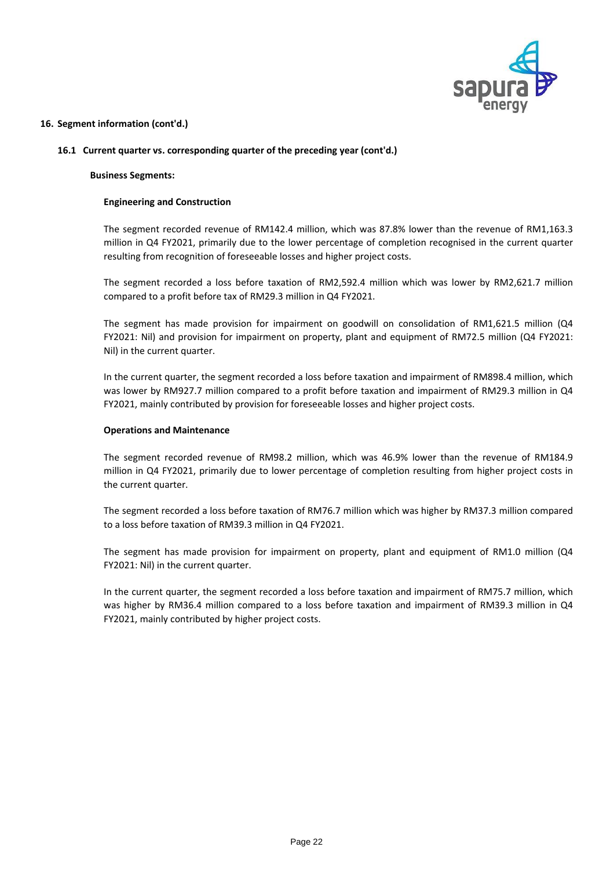

### **16.1 Current quarter vs. corresponding quarter of the preceding year (cont'd.)**

### **Business Segments:**

### **Engineering and Construction**

The segment recorded revenue of RM142.4 million, which was 87.8% lower than the revenue of RM1,163.3 million in Q4 FY2021, primarily due to the lower percentage of completion recognised in the current quarter resulting from recognition of foreseeable losses and higher project costs.

The segment recorded a loss before taxation of RM2,592.4 million which was lower by RM2,621.7 million compared to a profit before tax of RM29.3 million in Q4 FY2021.

The segment has made provision for impairment on goodwill on consolidation of RM1,621.5 million (Q4 FY2021: Nil) and provision for impairment on property, plant and equipment of RM72.5 million (Q4 FY2021: Nil) in the current quarter.

In the current quarter, the segment recorded a loss before taxation and impairment of RM898.4 million, which was lower by RM927.7 million compared to a profit before taxation and impairment of RM29.3 million in Q4 FY2021, mainly contributed by provision for foreseeable losses and higher project costs.

### **Operations and Maintenance**

The segment recorded revenue of RM98.2 million, which was 46.9% lower than the revenue of RM184.9 million in Q4 FY2021, primarily due to lower percentage of completion resulting from higher project costs in the current quarter.

The segment recorded a loss before taxation of RM76.7 million which was higher by RM37.3 million compared to a loss before taxation of RM39.3 million in Q4 FY2021.

The segment has made provision for impairment on property, plant and equipment of RM1.0 million (Q4 FY2021: Nil) in the current quarter.

In the current quarter, the segment recorded a loss before taxation and impairment of RM75.7 million, which was higher by RM36.4 million compared to a loss before taxation and impairment of RM39.3 million in Q4 FY2021, mainly contributed by higher project costs.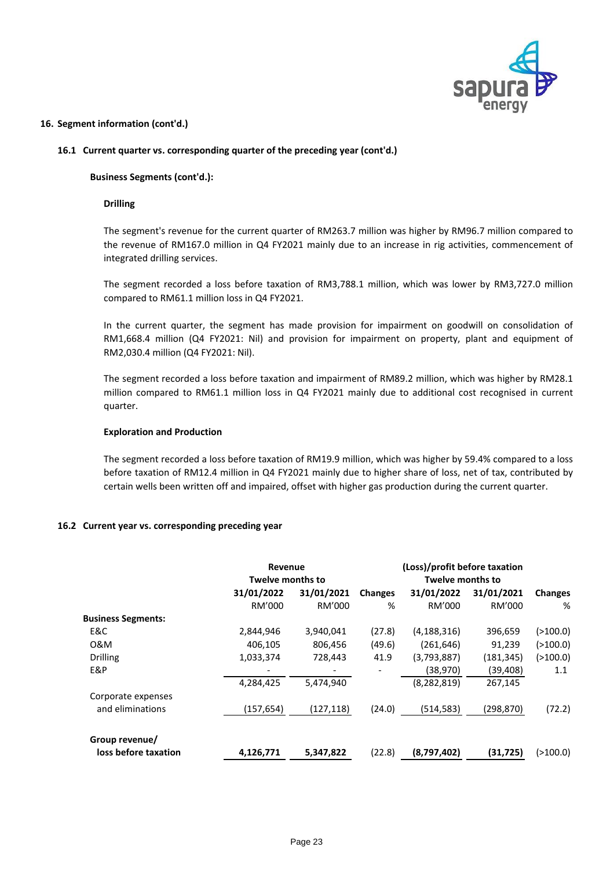

### **16.1 Current quarter vs. corresponding quarter of the preceding year (cont'd.)**

### **Business Segments (cont'd.):**

### **Drilling**

The segment's revenue for the current quarter of RM263.7 million was higher by RM96.7 million compared to the revenue of RM167.0 million in Q4 FY2021 mainly due to an increase in rig activities, commencement of integrated drilling services.

The segment recorded a loss before taxation of RM3,788.1 million, which was lower by RM3,727.0 million compared to RM61.1 million loss in Q4 FY2021.

In the current quarter, the segment has made provision for impairment on goodwill on consolidation of RM1,668.4 million (Q4 FY2021: Nil) and provision for impairment on property, plant and equipment of RM2,030.4 million (Q4 FY2021: Nil).

The segment recorded a loss before taxation and impairment of RM89.2 million, which was higher by RM28.1 million compared to RM61.1 million loss in Q4 FY2021 mainly due to additional cost recognised in current quarter.

### **Exploration and Production**

The segment recorded a loss before taxation of RM19.9 million, which was higher by 59.4% compared to a loss before taxation of RM12.4 million in Q4 FY2021 mainly due to higher share of loss, net of tax, contributed by certain wells been written off and impaired, offset with higher gas production during the current quarter.

### **16.2 Current year vs. corresponding preceding year**

|                           | <b>Revenue</b><br><b>Twelve months to</b> |            | (Loss)/profit before taxation<br>Twelve months to |               |            |                |
|---------------------------|-------------------------------------------|------------|---------------------------------------------------|---------------|------------|----------------|
|                           | 31/01/2022                                | 31/01/2021 | <b>Changes</b>                                    | 31/01/2022    | 31/01/2021 | <b>Changes</b> |
|                           | RM'000                                    | RM'000     | %                                                 | RM'000        | RM'000     | %              |
| <b>Business Segments:</b> |                                           |            |                                                   |               |            |                |
| E&C                       | 2,844,946                                 | 3,940,041  | (27.8)                                            | (4, 188, 316) | 396,659    | ( > 100.0)     |
| 0&M                       | 406,105                                   | 806,456    | (49.6)                                            | (261, 646)    | 91,239     | ( > 100.0)     |
| <b>Drilling</b>           | 1,033,374                                 | 728,443    | 41.9                                              | (3,793,887)   | (181, 345) | (>100.0)       |
| E&P                       |                                           |            |                                                   | (38,970)      | (39, 408)  | 1.1            |
|                           | 4,284,425                                 | 5,474,940  |                                                   | (8, 282, 819) | 267,145    |                |
| Corporate expenses        |                                           |            |                                                   |               |            |                |
| and eliminations          | (157, 654)                                | (127, 118) | (24.0)                                            | (514, 583)    | (298, 870) | (72.2)         |
| Group revenue/            |                                           |            |                                                   |               |            |                |
| loss before taxation      | 4,126,771                                 | 5,347,822  | (22.8)                                            | (8,797,402)   | (31, 725)  | ( > 100.0)     |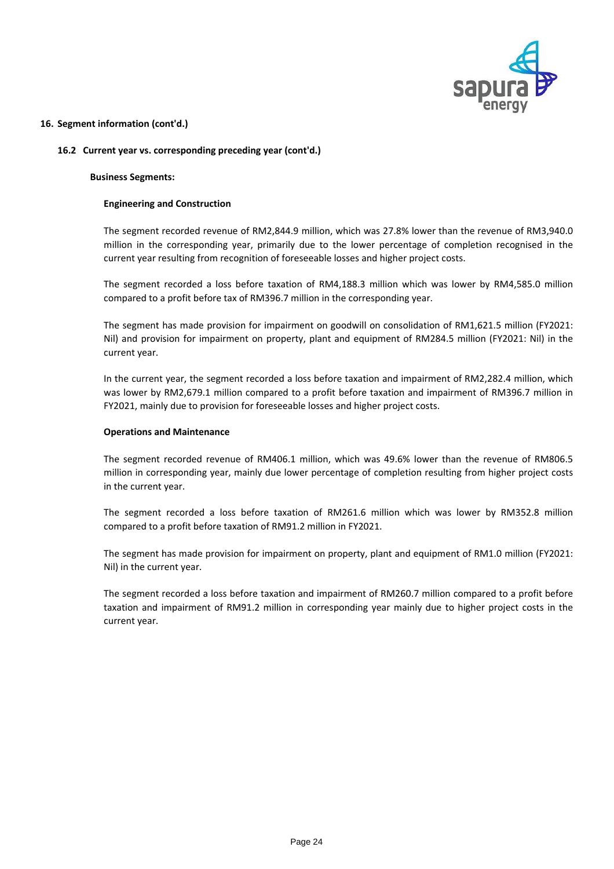

### **16.2 Current year vs. corresponding preceding year (cont'd.)**

### **Business Segments:**

### **Engineering and Construction**

The segment recorded revenue of RM2,844.9 million, which was 27.8% lower than the revenue of RM3,940.0 million in the corresponding year, primarily due to the lower percentage of completion recognised in the current year resulting from recognition of foreseeable losses and higher project costs.

The segment recorded a loss before taxation of RM4,188.3 million which was lower by RM4,585.0 million compared to a profit before tax of RM396.7 million in the corresponding year.

The segment has made provision for impairment on goodwill on consolidation of RM1,621.5 million (FY2021: Nil) and provision for impairment on property, plant and equipment of RM284.5 million (FY2021: Nil) in the current year.

In the current year, the segment recorded a loss before taxation and impairment of RM2,282.4 million, which was lower by RM2,679.1 million compared to a profit before taxation and impairment of RM396.7 million in FY2021, mainly due to provision for foreseeable losses and higher project costs.

### **Operations and Maintenance**

The segment recorded revenue of RM406.1 million, which was 49.6% lower than the revenue of RM806.5 million in corresponding year, mainly due lower percentage of completion resulting from higher project costs in the current year.

The segment recorded a loss before taxation of RM261.6 million which was lower by RM352.8 million compared to a profit before taxation of RM91.2 million in FY2021.

The segment has made provision for impairment on property, plant and equipment of RM1.0 million (FY2021: Nil) in the current year.

The segment recorded a loss before taxation and impairment of RM260.7 million compared to a profit before taxation and impairment of RM91.2 million in corresponding year mainly due to higher project costs in the current year.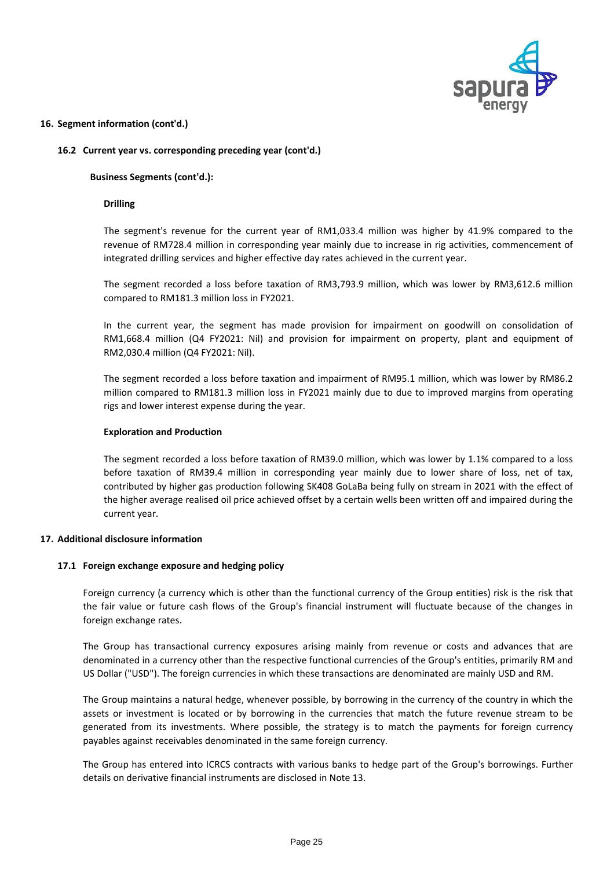

### **16.2 Current year vs. corresponding preceding year (cont'd.)**

### **Business Segments (cont'd.):**

### **Drilling**

The segment's revenue for the current year of RM1,033.4 million was higher by 41.9% compared to the revenue of RM728.4 million in corresponding year mainly due to increase in rig activities, commencement of integrated drilling services and higher effective day rates achieved in the current year.

The segment recorded a loss before taxation of RM3,793.9 million, which was lower by RM3,612.6 million compared to RM181.3 million loss in FY2021.

In the current year, the segment has made provision for impairment on goodwill on consolidation of RM1,668.4 million (Q4 FY2021: Nil) and provision for impairment on property, plant and equipment of RM2,030.4 million (Q4 FY2021: Nil).

The segment recorded a loss before taxation and impairment of RM95.1 million, which was lower by RM86.2 million compared to RM181.3 million loss in FY2021 mainly due to due to improved margins from operating rigs and lower interest expense during the year.

### **Exploration and Production**

The segment recorded a loss before taxation of RM39.0 million, which was lower by 1.1% compared to a loss before taxation of RM39.4 million in corresponding year mainly due to lower share of loss, net of tax, contributed by higher gas production following SK408 GoLaBa being fully on stream in 2021 with the effect of the higher average realised oil price achieved offset by a certain wells been written off and impaired during the current year.

### **17. Additional disclosure information**

### **17.1 Foreign exchange exposure and hedging policy**

Foreign currency (a currency which is other than the functional currency of the Group entities) risk is the risk that the fair value or future cash flows of the Group's financial instrument will fluctuate because of the changes in foreign exchange rates.

The Group has transactional currency exposures arising mainly from revenue or costs and advances that are denominated in a currency other than the respective functional currencies of the Group's entities, primarily RM and US Dollar ("USD"). The foreign currencies in which these transactions are denominated are mainly USD and RM.

The Group maintains a natural hedge, whenever possible, by borrowing in the currency of the country in which the assets or investment is located or by borrowing in the currencies that match the future revenue stream to be generated from its investments. Where possible, the strategy is to match the payments for foreign currency payables against receivables denominated in the same foreign currency.

The Group has entered into ICRCS contracts with various banks to hedge part of the Group's borrowings. Further details on derivative financial instruments are disclosed in Note 13.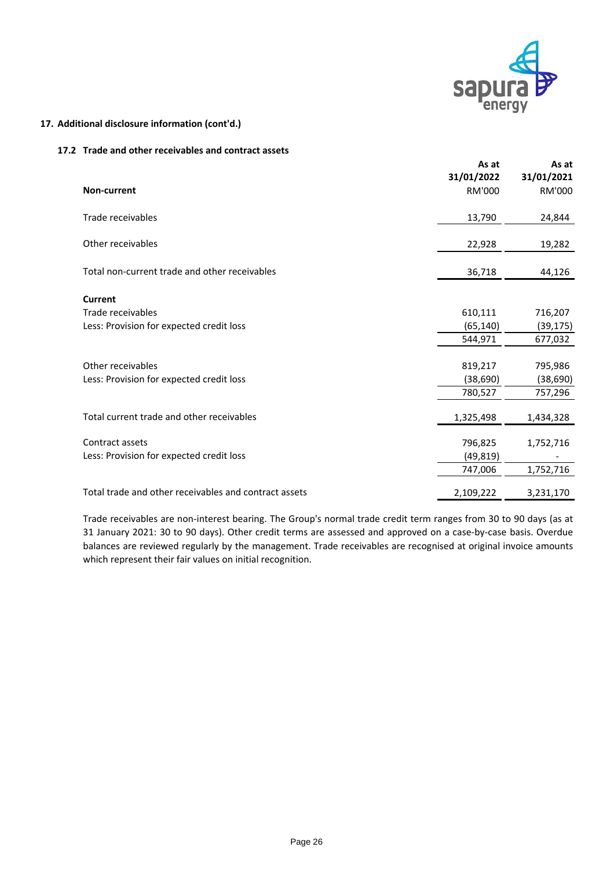

# **17. Additional disclosure information (cont'd.)**

### **17.2 Trade and other receivables and contract assets**

| Non-current                                                                     | As at<br>31/01/2022<br>RM'000   | As at<br>31/01/2021<br>RM'000   |
|---------------------------------------------------------------------------------|---------------------------------|---------------------------------|
| Trade receivables                                                               | 13,790                          | 24,844                          |
| Other receivables                                                               | 22,928                          | 19,282                          |
| Total non-current trade and other receivables                                   | 36,718                          | 44,126                          |
| <b>Current</b><br>Trade receivables<br>Less: Provision for expected credit loss | 610,111<br>(65, 140)<br>544,971 | 716,207<br>(39, 175)<br>677,032 |
| Other receivables<br>Less: Provision for expected credit loss                   | 819,217<br>(38, 690)<br>780,527 | 795,986<br>(38, 690)<br>757,296 |
| Total current trade and other receivables                                       | 1,325,498                       | 1,434,328                       |
| Contract assets<br>Less: Provision for expected credit loss                     | 796,825<br>(49, 819)<br>747,006 | 1,752,716<br>1,752,716          |
| Total trade and other receivables and contract assets                           | 2,109,222                       | 3,231,170                       |

Trade receivables are non-interest bearing. The Group's normal trade credit term ranges from 30 to 90 days (as at 31 January 2021: 30 to 90 days). Other credit terms are assessed and approved on a case-by-case basis. Overdue balances are reviewed regularly by the management. Trade receivables are recognised at original invoice amounts which represent their fair values on initial recognition.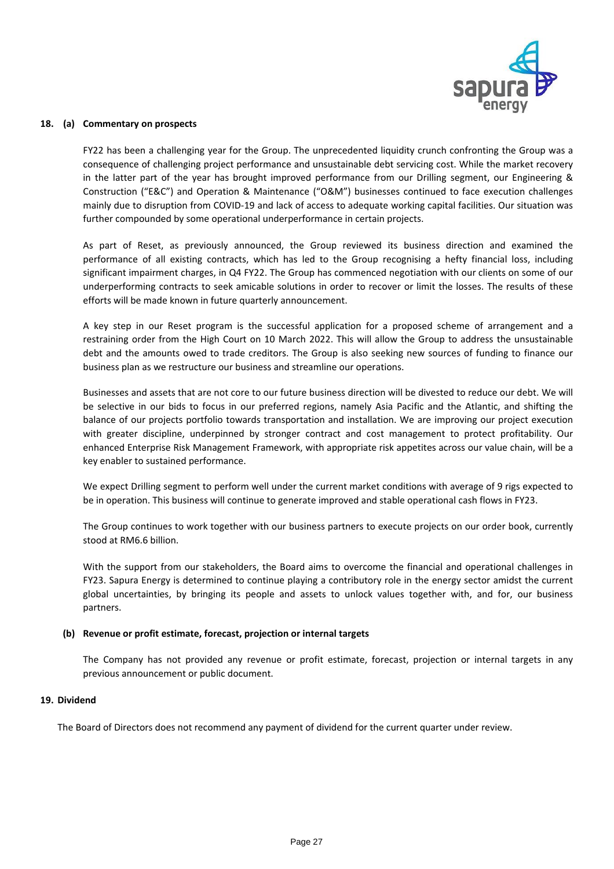

### **18. (a) Commentary on prospects**

FY22 has been a challenging year for the Group. The unprecedented liquidity crunch confronting the Group was a consequence of challenging project performance and unsustainable debt servicing cost. While the market recovery in the latter part of the year has brought improved performance from our Drilling segment, our Engineering & Construction ("E&C") and Operation & Maintenance ("O&M") businesses continued to face execution challenges mainly due to disruption from COVID-19 and lack of access to adequate working capital facilities. Our situation was further compounded by some operational underperformance in certain projects.

As part of Reset, as previously announced, the Group reviewed its business direction and examined the performance of all existing contracts, which has led to the Group recognising a hefty financial loss, including significant impairment charges, in Q4 FY22. The Group has commenced negotiation with our clients on some of our underperforming contracts to seek amicable solutions in order to recover or limit the losses. The results of these efforts will be made known in future quarterly announcement.

A key step in our Reset program is the successful application for a proposed scheme of arrangement and a restraining order from the High Court on 10 March 2022. This will allow the Group to address the unsustainable debt and the amounts owed to trade creditors. The Group is also seeking new sources of funding to finance our business plan as we restructure our business and streamline our operations.

Businesses and assets that are not core to our future business direction will be divested to reduce our debt. We will be selective in our bids to focus in our preferred regions, namely Asia Pacific and the Atlantic, and shifting the balance of our projects portfolio towards transportation and installation. We are improving our project execution with greater discipline, underpinned by stronger contract and cost management to protect profitability. Our enhanced Enterprise Risk Management Framework, with appropriate risk appetites across our value chain, will be a key enabler to sustained performance.

We expect Drilling segment to perform well under the current market conditions with average of 9 rigs expected to be in operation. This business will continue to generate improved and stable operational cash flows in FY23.

The Group continues to work together with our business partners to execute projects on our order book, currently stood at RM6.6 billion.

With the support from our stakeholders, the Board aims to overcome the financial and operational challenges in FY23. Sapura Energy is determined to continue playing a contributory role in the energy sector amidst the current global uncertainties, by bringing its people and assets to unlock values together with, and for, our business partners.

### **(b) Revenue or profit estimate, forecast, projection or internal targets**

The Company has not provided any revenue or profit estimate, forecast, projection or internal targets in any previous announcement or public document.

### **19. Dividend**

The Board of Directors does not recommend any payment of dividend for the current quarter under review.